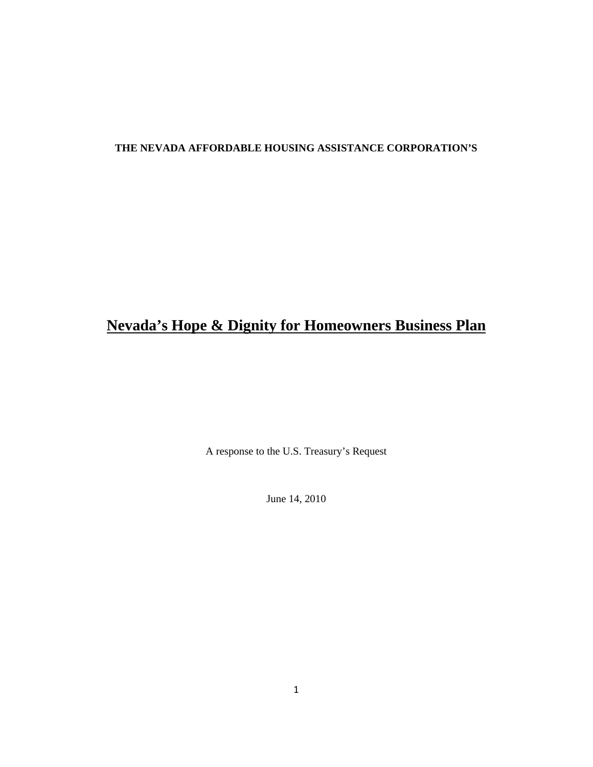### **THE NEVADA AFFORDABLE HOUSING ASSISTANCE CORPORATION'S**

# **Nevada's Hope & Dignity for Homeowners Business Plan**

A response to the U.S. Treasury's Request

June 14, 2010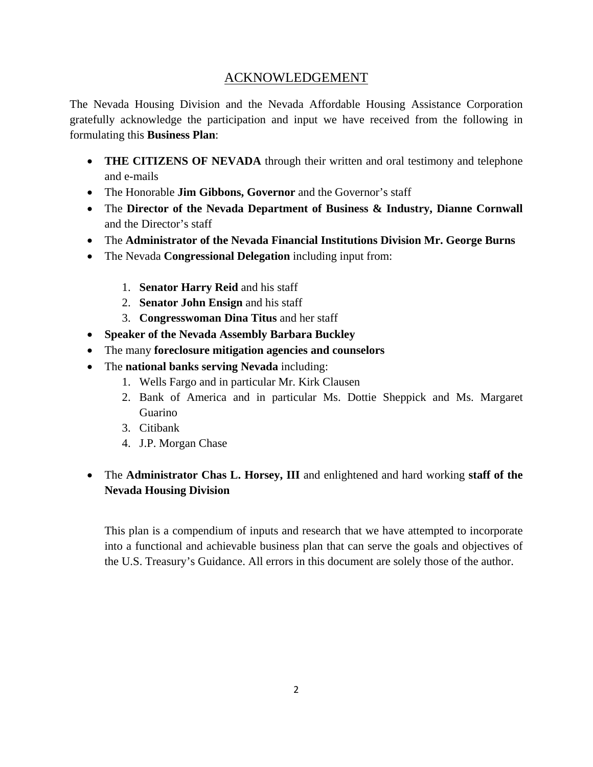# ACKNOWLEDGEMENT

The Nevada Housing Division and the Nevada Affordable Housing Assistance Corporation gratefully acknowledge the participation and input we have received from the following in formulating this **Business Plan**:

- **THE CITIZENS OF NEVADA** through their written and oral testimony and telephone and e-mails
- The Honorable **Jim Gibbons, Governor** and the Governor's staff
- The **Director of the Nevada Department of Business & Industry, Dianne Cornwall** and the Director's staff
- The **Administrator of the Nevada Financial Institutions Division Mr. George Burns**
- The Nevada **Congressional Delegation** including input from:
	- 1. **Senator Harry Reid** and his staff
	- 2. **Senator John Ensign** and his staff
	- 3. **Congresswoman Dina Titus** and her staff
- **Speaker of the Nevada Assembly Barbara Buckley**
- The many **foreclosure mitigation agencies and counselors**
- The **national banks serving Nevada** including:
	- 1. Wells Fargo and in particular Mr. Kirk Clausen
	- 2. Bank of America and in particular Ms. Dottie Sheppick and Ms. Margaret Guarino
	- 3. Citibank
	- 4. J.P. Morgan Chase

# • The **Administrator Chas L. Horsey, III** and enlightened and hard working **staff of the Nevada Housing Division**

This plan is a compendium of inputs and research that we have attempted to incorporate into a functional and achievable business plan that can serve the goals and objectives of the U.S. Treasury's Guidance. All errors in this document are solely those of the author.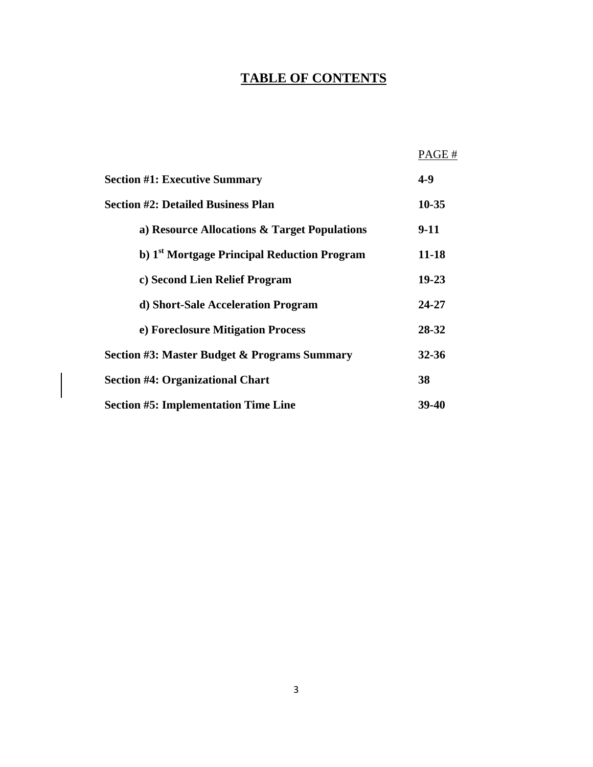# **TABLE OF CONTENTS**

|                                                         | PAGE#     |
|---------------------------------------------------------|-----------|
| <b>Section #1: Executive Summary</b>                    | $4 - 9$   |
| <b>Section #2: Detailed Business Plan</b>               | $10 - 35$ |
| a) Resource Allocations & Target Populations            | 9-11      |
| b) 1 <sup>st</sup> Mortgage Principal Reduction Program | 11-18     |
| c) Second Lien Relief Program                           | $19 - 23$ |
| d) Short-Sale Acceleration Program                      | 24-27     |
| e) Foreclosure Mitigation Process                       | 28-32     |
| <b>Section #3: Master Budget &amp; Programs Summary</b> | 32-36     |
| <b>Section #4: Organizational Chart</b>                 | 38        |
| <b>Section #5: Implementation Time Line</b>             | 39-40     |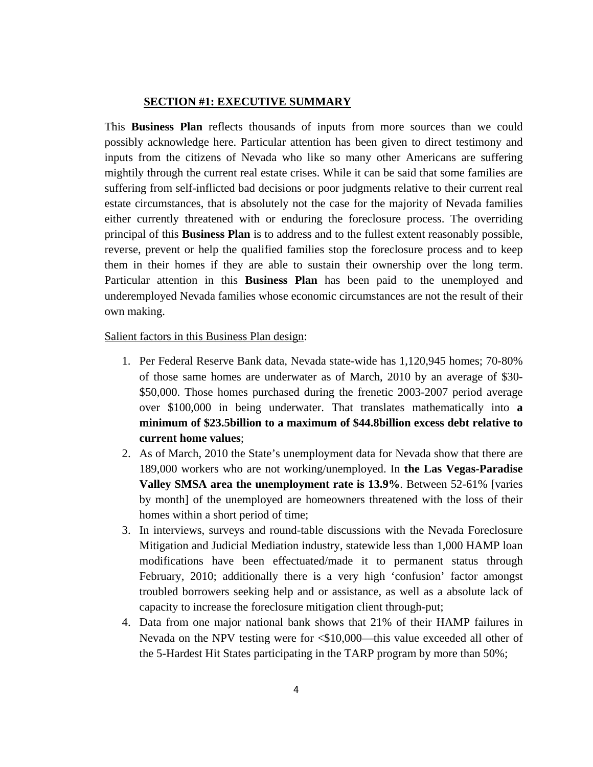### **SECTION #1: EXECUTIVE SUMMARY**

This **Business Plan** reflects thousands of inputs from more sources than we could possibly acknowledge here. Particular attention has been given to direct testimony and inputs from the citizens of Nevada who like so many other Americans are suffering mightily through the current real estate crises. While it can be said that some families are suffering from self-inflicted bad decisions or poor judgments relative to their current real estate circumstances, that is absolutely not the case for the majority of Nevada families either currently threatened with or enduring the foreclosure process. The overriding principal of this **Business Plan** is to address and to the fullest extent reasonably possible, reverse, prevent or help the qualified families stop the foreclosure process and to keep them in their homes if they are able to sustain their ownership over the long term. Particular attention in this **Business Plan** has been paid to the unemployed and underemployed Nevada families whose economic circumstances are not the result of their own making.

#### Salient factors in this Business Plan design:

- 1. Per Federal Reserve Bank data, Nevada state-wide has 1,120,945 homes; 70-80% of those same homes are underwater as of March, 2010 by an average of \$30- \$50,000. Those homes purchased during the frenetic 2003-2007 period average over \$100,000 in being underwater. That translates mathematically into **a minimum of \$23.5billion to a maximum of \$44.8billion excess debt relative to current home values**;
- 2. As of March, 2010 the State's unemployment data for Nevada show that there are 189,000 workers who are not working/unemployed. In **the Las Vegas-Paradise Valley SMSA area the unemployment rate is 13.9%**. Between 52-61% [varies by month] of the unemployed are homeowners threatened with the loss of their homes within a short period of time;
- 3. In interviews, surveys and round-table discussions with the Nevada Foreclosure Mitigation and Judicial Mediation industry, statewide less than 1,000 HAMP loan modifications have been effectuated/made it to permanent status through February, 2010; additionally there is a very high 'confusion' factor amongst troubled borrowers seeking help and or assistance, as well as a absolute lack of capacity to increase the foreclosure mitigation client through-put;
- 4. Data from one major national bank shows that 21% of their HAMP failures in Nevada on the NPV testing were for <\$10,000—this value exceeded all other of the 5-Hardest Hit States participating in the TARP program by more than 50%;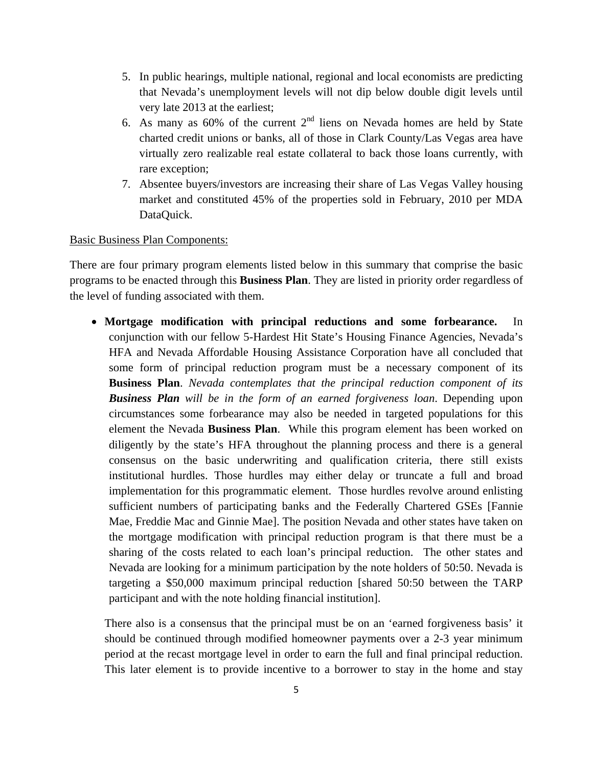- 5. In public hearings, multiple national, regional and local economists are predicting that Nevada's unemployment levels will not dip below double digit levels until very late 2013 at the earliest;
- 6. As many as 60% of the current  $2<sup>nd</sup>$  liens on Nevada homes are held by State charted credit unions or banks, all of those in Clark County/Las Vegas area have virtually zero realizable real estate collateral to back those loans currently, with rare exception;
- 7. Absentee buyers/investors are increasing their share of Las Vegas Valley housing market and constituted 45% of the properties sold in February, 2010 per MDA DataQuick.

#### Basic Business Plan Components:

There are four primary program elements listed below in this summary that comprise the basic programs to be enacted through this **Business Plan**. They are listed in priority order regardless of the level of funding associated with them.

• **Mortgage modification with principal reductions and some forbearance.** In conjunction with our fellow 5-Hardest Hit State's Housing Finance Agencies, Nevada's HFA and Nevada Affordable Housing Assistance Corporation have all concluded that some form of principal reduction program must be a necessary component of its **Business Plan**. *Nevada contemplates that the principal reduction component of its Business Plan will be in the form of an earned forgiveness loan*. Depending upon circumstances some forbearance may also be needed in targeted populations for this element the Nevada **Business Plan**. While this program element has been worked on diligently by the state's HFA throughout the planning process and there is a general consensus on the basic underwriting and qualification criteria, there still exists institutional hurdles. Those hurdles may either delay or truncate a full and broad implementation for this programmatic element. Those hurdles revolve around enlisting sufficient numbers of participating banks and the Federally Chartered GSEs [Fannie Mae, Freddie Mac and Ginnie Mae]. The position Nevada and other states have taken on the mortgage modification with principal reduction program is that there must be a sharing of the costs related to each loan's principal reduction. The other states and Nevada are looking for a minimum participation by the note holders of 50:50. Nevada is targeting a \$50,000 maximum principal reduction [shared 50:50 between the TARP participant and with the note holding financial institution].

There also is a consensus that the principal must be on an 'earned forgiveness basis' it should be continued through modified homeowner payments over a 2-3 year minimum period at the recast mortgage level in order to earn the full and final principal reduction. This later element is to provide incentive to a borrower to stay in the home and stay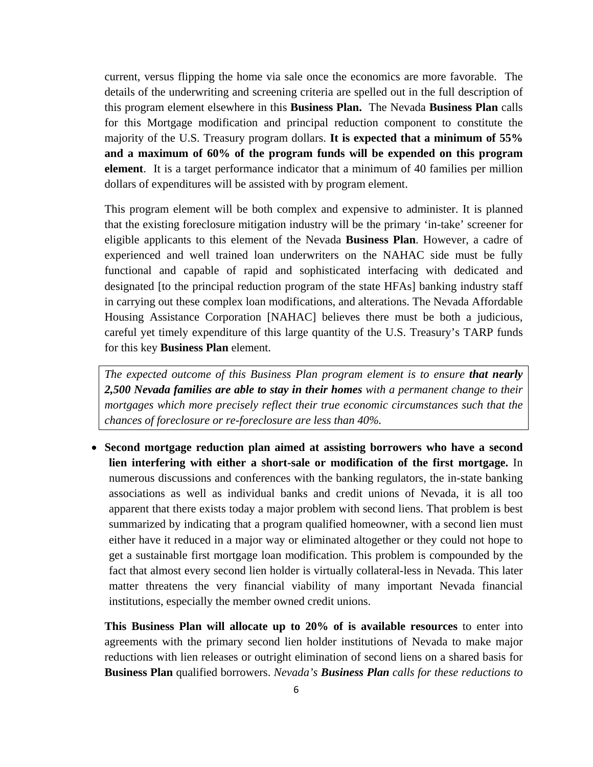current, versus flipping the home via sale once the economics are more favorable. The details of the underwriting and screening criteria are spelled out in the full description of this program element elsewhere in this **Business Plan.** The Nevada **Business Plan** calls for this Mortgage modification and principal reduction component to constitute the majority of the U.S. Treasury program dollars. **It is expected that a minimum of 55% and a maximum of 60% of the program funds will be expended on this program element**. It is a target performance indicator that a minimum of 40 families per million dollars of expenditures will be assisted with by program element.

This program element will be both complex and expensive to administer. It is planned that the existing foreclosure mitigation industry will be the primary 'in-take' screener for eligible applicants to this element of the Nevada **Business Plan**. However, a cadre of experienced and well trained loan underwriters on the NAHAC side must be fully functional and capable of rapid and sophisticated interfacing with dedicated and designated [to the principal reduction program of the state HFAs] banking industry staff in carrying out these complex loan modifications, and alterations. The Nevada Affordable Housing Assistance Corporation [NAHAC] believes there must be both a judicious, careful yet timely expenditure of this large quantity of the U.S. Treasury's TARP funds for this key **Business Plan** element.

*The expected outcome of this Business Plan program element is to ensure <i>that nearly 2,500 Nevada families are able to stay in their homes with a permanent change to their mortgages which more precisely reflect their true economic circumstances such that the chances of foreclosure or re-foreclosure are less than 40%.* 

• **Second mortgage reduction plan aimed at assisting borrowers who have a second lien interfering with either a short-sale or modification of the first mortgage.** In numerous discussions and conferences with the banking regulators, the in-state banking associations as well as individual banks and credit unions of Nevada, it is all too apparent that there exists today a major problem with second liens. That problem is best summarized by indicating that a program qualified homeowner, with a second lien must either have it reduced in a major way or eliminated altogether or they could not hope to get a sustainable first mortgage loan modification. This problem is compounded by the fact that almost every second lien holder is virtually collateral-less in Nevada. This later matter threatens the very financial viability of many important Nevada financial institutions, especially the member owned credit unions.

**This Business Plan will allocate up to 20% of is available resources** to enter into agreements with the primary second lien holder institutions of Nevada to make major reductions with lien releases or outright elimination of second liens on a shared basis for **Business Plan** qualified borrowers. *Nevada's Business Plan calls for these reductions to*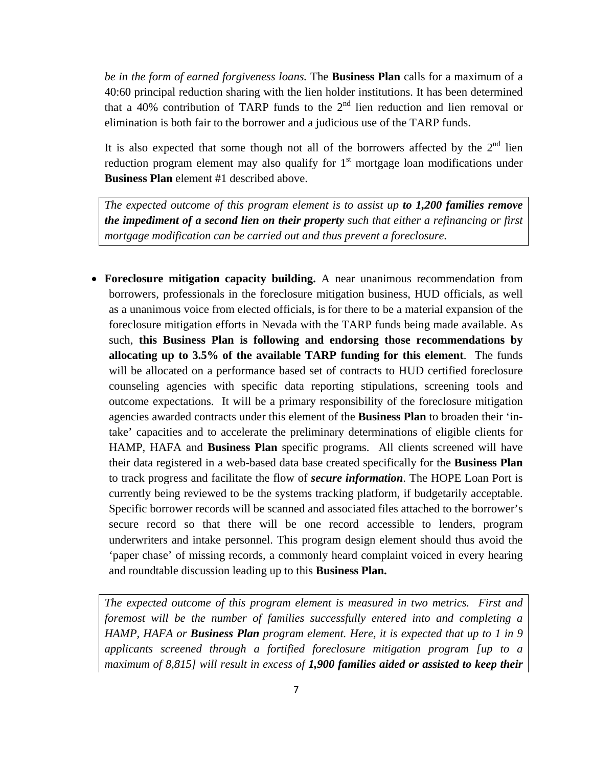*be in the form of earned forgiveness loans.* The **Business Plan** calls for a maximum of a 40:60 principal reduction sharing with the lien holder institutions. It has been determined that a 40% contribution of TARP funds to the  $2<sup>nd</sup>$  lien reduction and lien removal or elimination is both fair to the borrower and a judicious use of the TARP funds.

It is also expected that some though not all of the borrowers affected by the  $2<sup>nd</sup>$  lien reduction program element may also qualify for  $1<sup>st</sup>$  mortgage loan modifications under **Business Plan** element #1 described above.

*The expected outcome of this program element is to assist up to 1,200 families remove the impediment of a second lien on their property such that either a refinancing or first mortgage modification can be carried out and thus prevent a foreclosure.*

• **Foreclosure mitigation capacity building.** A near unanimous recommendation from borrowers, professionals in the foreclosure mitigation business, HUD officials, as well as a unanimous voice from elected officials, is for there to be a material expansion of the foreclosure mitigation efforts in Nevada with the TARP funds being made available. As such, **this Business Plan is following and endorsing those recommendations by allocating up to 3.5% of the available TARP funding for this element**. The funds will be allocated on a performance based set of contracts to HUD certified foreclosure counseling agencies with specific data reporting stipulations, screening tools and outcome expectations. It will be a primary responsibility of the foreclosure mitigation agencies awarded contracts under this element of the **Business Plan** to broaden their 'intake' capacities and to accelerate the preliminary determinations of eligible clients for HAMP, HAFA and **Business Plan** specific programs. All clients screened will have their data registered in a web-based data base created specifically for the **Business Plan** to track progress and facilitate the flow of *secure information*. The HOPE Loan Port is currently being reviewed to be the systems tracking platform, if budgetarily acceptable. Specific borrower records will be scanned and associated files attached to the borrower's secure record so that there will be one record accessible to lenders, program underwriters and intake personnel. This program design element should thus avoid the 'paper chase' of missing records, a commonly heard complaint voiced in every hearing and roundtable discussion leading up to this **Business Plan.**

*The expected outcome of this program element is measured in two metrics. First and foremost will be the number of families successfully entered into and completing a HAMP, HAFA or Business Plan program element. Here, it is expected that up to 1 in 9 applicants screened through a fortified foreclosure mitigation program [up to a maximum of 8,815] will result in excess of 1,900 families aided or assisted to keep their*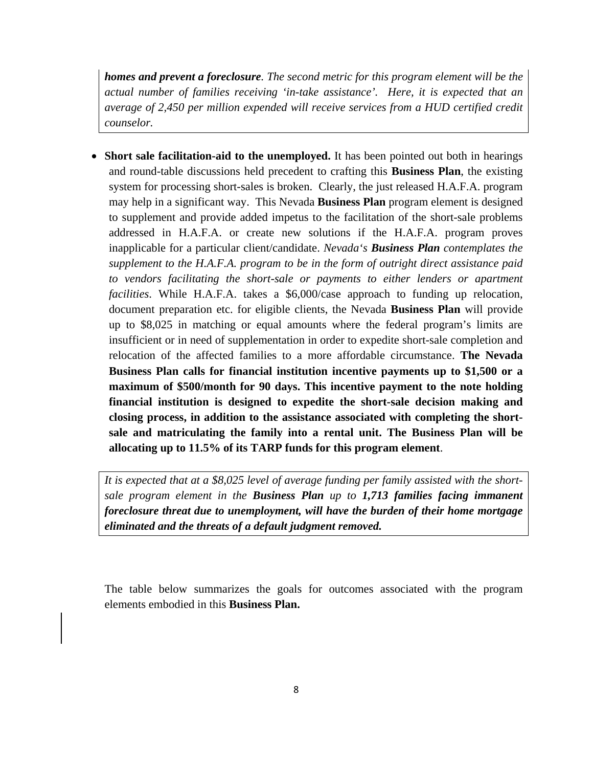*homes and prevent a foreclosure. The second metric for this program element will be the actual number of families receiving 'in-take assistance'. Here, it is expected that an average of 2,450 per million expended will receive services from a HUD certified credit counselor.* 

• **Short sale facilitation-aid to the unemployed.** It has been pointed out both in hearings and round-table discussions held precedent to crafting this **Business Plan**, the existing system for processing short-sales is broken. Clearly, the just released H.A.F.A. program may help in a significant way. This Nevada **Business Plan** program element is designed to supplement and provide added impetus to the facilitation of the short-sale problems addressed in H.A.F.A. or create new solutions if the H.A.F.A. program proves inapplicable for a particular client/candidate. *Nevada's Business Plan contemplates the supplement to the H.A.F.A. program to be in the form of outright direct assistance paid to vendors facilitating the short-sale or payments to either lenders or apartment facilities*. While H.A.F.A. takes a \$6,000/case approach to funding up relocation, document preparation etc. for eligible clients, the Nevada **Business Plan** will provide up to \$8,025 in matching or equal amounts where the federal program's limits are insufficient or in need of supplementation in order to expedite short-sale completion and relocation of the affected families to a more affordable circumstance. **The Nevada Business Plan calls for financial institution incentive payments up to \$1,500 or a maximum of \$500/month for 90 days. This incentive payment to the note holding financial institution is designed to expedite the short-sale decision making and closing process, in addition to the assistance associated with completing the shortsale and matriculating the family into a rental unit. The Business Plan will be allocating up to 11.5% of its TARP funds for this program element**.

*It is expected that at a \$8,025 level of average funding per family assisted with the shortsale program element in the Business Plan up to 1,713 families facing immanent foreclosure threat due to unemployment, will have the burden of their home mortgage eliminated and the threats of a default judgment removed.*

The table below summarizes the goals for outcomes associated with the program elements embodied in this **Business Plan.**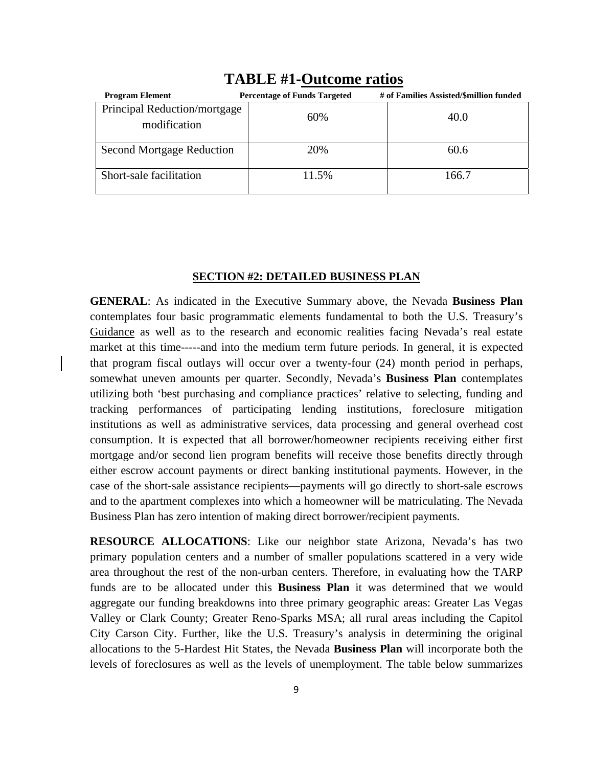| <b>Program Element</b>                       | <b>Percentage of Funds Targeted</b> | # of Families Assisted/\$million funded |  |  |  |  |
|----------------------------------------------|-------------------------------------|-----------------------------------------|--|--|--|--|
| Principal Reduction/mortgage<br>modification | 60%                                 | 40.0                                    |  |  |  |  |
| <b>Second Mortgage Reduction</b>             | 20%                                 | 60.6                                    |  |  |  |  |
| Short-sale facilitation                      | 11.5%                               | 166.7                                   |  |  |  |  |

# **TABLE #1-Outcome ratios**

### **SECTION #2: DETAILED BUSINESS PLAN**

**GENERAL**: As indicated in the Executive Summary above, the Nevada **Business Plan**  contemplates four basic programmatic elements fundamental to both the U.S. Treasury's Guidance as well as to the research and economic realities facing Nevada's real estate market at this time-----and into the medium term future periods. In general, it is expected that program fiscal outlays will occur over a twenty-four (24) month period in perhaps, somewhat uneven amounts per quarter. Secondly, Nevada's **Business Plan** contemplates utilizing both 'best purchasing and compliance practices' relative to selecting, funding and tracking performances of participating lending institutions, foreclosure mitigation institutions as well as administrative services, data processing and general overhead cost consumption. It is expected that all borrower/homeowner recipients receiving either first mortgage and/or second lien program benefits will receive those benefits directly through either escrow account payments or direct banking institutional payments. However, in the case of the short-sale assistance recipients—payments will go directly to short-sale escrows and to the apartment complexes into which a homeowner will be matriculating. The Nevada Business Plan has zero intention of making direct borrower/recipient payments.

**RESOURCE ALLOCATIONS**: Like our neighbor state Arizona, Nevada's has two primary population centers and a number of smaller populations scattered in a very wide area throughout the rest of the non-urban centers. Therefore, in evaluating how the TARP funds are to be allocated under this **Business Plan** it was determined that we would aggregate our funding breakdowns into three primary geographic areas: Greater Las Vegas Valley or Clark County; Greater Reno-Sparks MSA; all rural areas including the Capitol City Carson City. Further, like the U.S. Treasury's analysis in determining the original allocations to the 5-Hardest Hit States, the Nevada **Business Plan** will incorporate both the levels of foreclosures as well as the levels of unemployment. The table below summarizes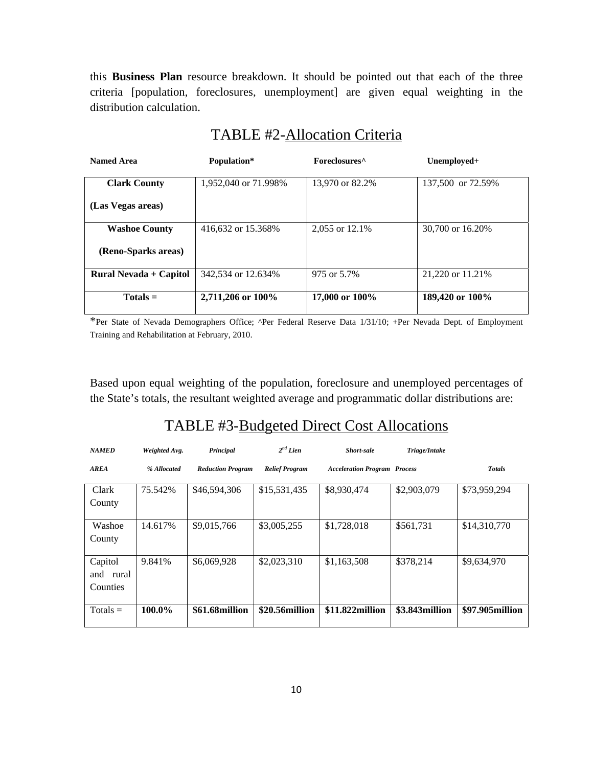this **Business Plan** resource breakdown. It should be pointed out that each of the three criteria [population, foreclosures, unemployment] are given equal weighting in the distribution calculation.

| <b>Named Area</b>      | Population*          | Foreclosures <sup>^</sup> | Unemployed+       |
|------------------------|----------------------|---------------------------|-------------------|
|                        |                      |                           |                   |
| <b>Clark County</b>    | 1,952,040 or 71.998% | 13,970 or 82.2%           | 137,500 or 72.59% |
|                        |                      |                           |                   |
| (Las Vegas areas)      |                      |                           |                   |
|                        |                      |                           |                   |
| <b>Washoe County</b>   | 416,632 or 15.368%   | 2,055 or 12.1%            | 30,700 or 16.20%  |
|                        |                      |                           |                   |
| (Reno-Sparks areas)    |                      |                           |                   |
|                        |                      |                           |                   |
| Rural Nevada + Capitol | 342,534 or 12.634%   | 975 or 5.7%               | 21,220 or 11.21%  |
|                        |                      |                           |                   |
| $Totals =$             | 2,711,206 or 100%    | 17,000 or 100%            | 189,420 or 100%   |
|                        |                      |                           |                   |

# TABLE #2-Allocation Criteria

\*Per State of Nevada Demographers Office; ^Per Federal Reserve Data 1/31/10; +Per Nevada Dept. of Employment Training and Rehabilitation at February, 2010.

Based upon equal weighting of the population, foreclosure and unemployed percentages of the State's totals, the resultant weighted average and programmatic dollar distributions are:

# TABLE #3-Budgeted Direct Cost Allocations

| <b>NAMED</b>                        | Weighted Avg. | Principal                | $2nd$ Lien            | Short-sale                          | Triage/Intake  |                 |
|-------------------------------------|---------------|--------------------------|-----------------------|-------------------------------------|----------------|-----------------|
| <b>AREA</b>                         | % Allocated   | <b>Reduction Program</b> | <b>Relief Program</b> | <b>Acceleration Program Process</b> |                | <b>Totals</b>   |
| Clark<br>County                     | 75.542%       | \$46,594,306             | \$15,531,435          | \$8,930,474                         | \$2,903,079    | \$73,959,294    |
| Washoe<br>County                    | 14.617%       | \$9,015,766              | \$3,005,255           | \$1,728,018                         | \$561,731      | \$14,310,770    |
| Capitol<br>rural<br>and<br>Counties | 9.841%        | \$6,069,928              | \$2,023,310           | \$1,163,508                         | \$378,214      | \$9,634,970     |
| $Totals =$                          | 100.0%        | \$61.68million           | \$20.56million        | \$11.822million                     | \$3.843million | \$97.905million |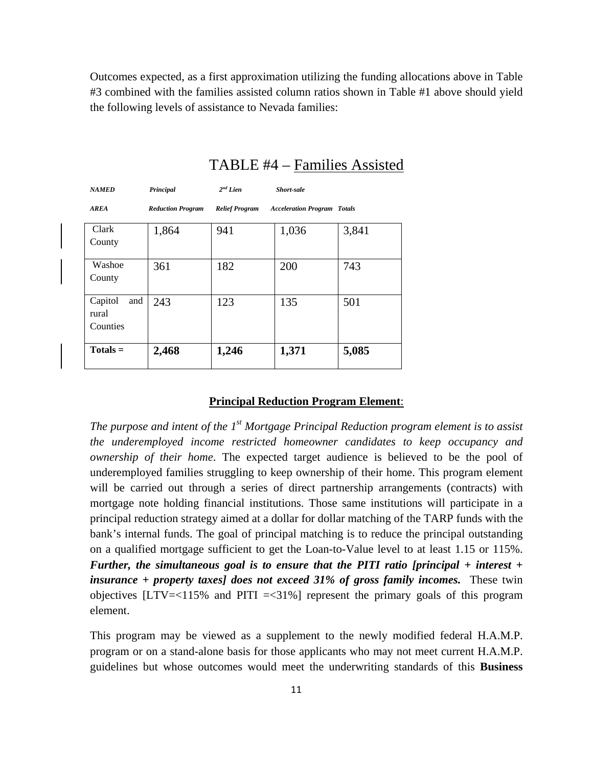Outcomes expected, as a first approximation utilizing the funding allocations above in Table #3 combined with the families assisted column ratios shown in Table #1 above should yield the following levels of assistance to Nevada families:

| <b>NAMED</b>                        | Principal                | $2^{nd}$ Lien         | <b>Short-sale</b>                  |       |
|-------------------------------------|--------------------------|-----------------------|------------------------------------|-------|
| <b>AREA</b>                         | <b>Reduction Program</b> | <b>Relief Program</b> | <b>Acceleration Program Totals</b> |       |
| Clark<br>County                     | 1,864                    | 941                   | 1,036                              | 3,841 |
| Washoe<br>County                    | 361                      | 182                   | 200                                | 743   |
| Capitol<br>and<br>rural<br>Counties | 243                      | 123                   | 135                                | 501   |
| $Totals =$                          | 2,468                    | 1,246                 | 1,371                              | 5,085 |

# TABLE #4 – Families Assisted

#### **Principal Reduction Program Element**:

*The purpose and intent of the 1st Mortgage Principal Reduction program element is to assist the underemployed income restricted homeowner candidates to keep occupancy and ownership of their home*. The expected target audience is believed to be the pool of underemployed families struggling to keep ownership of their home. This program element will be carried out through a series of direct partnership arrangements (contracts) with mortgage note holding financial institutions. Those same institutions will participate in a principal reduction strategy aimed at a dollar for dollar matching of the TARP funds with the bank's internal funds. The goal of principal matching is to reduce the principal outstanding on a qualified mortgage sufficient to get the Loan-to-Value level to at least 1.15 or 115%. *Further, the simultaneous goal is to ensure that the PITI ratio [principal + interest + insurance + property taxes] does not exceed 31% of gross family incomes.* These twin objectives  $[LTV=<115%$  and  $PITI = <31%$  represent the primary goals of this program element.

This program may be viewed as a supplement to the newly modified federal H.A.M.P. program or on a stand-alone basis for those applicants who may not meet current H.A.M.P. guidelines but whose outcomes would meet the underwriting standards of this **Business**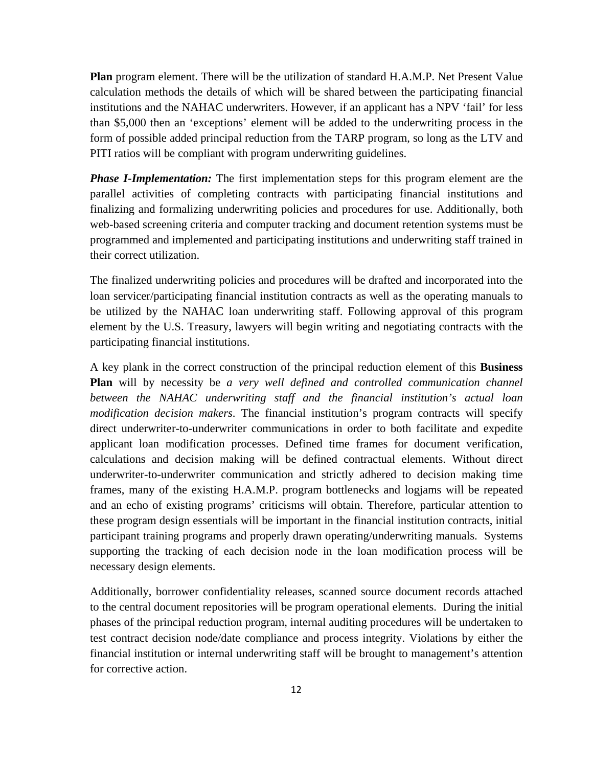**Plan** program element. There will be the utilization of standard H.A.M.P. Net Present Value calculation methods the details of which will be shared between the participating financial institutions and the NAHAC underwriters. However, if an applicant has a NPV 'fail' for less than \$5,000 then an 'exceptions' element will be added to the underwriting process in the form of possible added principal reduction from the TARP program, so long as the LTV and PITI ratios will be compliant with program underwriting guidelines.

*Phase I-Implementation:* The first implementation steps for this program element are the parallel activities of completing contracts with participating financial institutions and finalizing and formalizing underwriting policies and procedures for use. Additionally, both web-based screening criteria and computer tracking and document retention systems must be programmed and implemented and participating institutions and underwriting staff trained in their correct utilization.

The finalized underwriting policies and procedures will be drafted and incorporated into the loan servicer/participating financial institution contracts as well as the operating manuals to be utilized by the NAHAC loan underwriting staff. Following approval of this program element by the U.S. Treasury, lawyers will begin writing and negotiating contracts with the participating financial institutions.

A key plank in the correct construction of the principal reduction element of this **Business Plan** will by necessity be *a very well defined and controlled communication channel between the NAHAC underwriting staff and the financial institution's actual loan modification decision makers*. The financial institution's program contracts will specify direct underwriter-to-underwriter communications in order to both facilitate and expedite applicant loan modification processes. Defined time frames for document verification, calculations and decision making will be defined contractual elements. Without direct underwriter-to-underwriter communication and strictly adhered to decision making time frames, many of the existing H.A.M.P. program bottlenecks and logjams will be repeated and an echo of existing programs' criticisms will obtain. Therefore, particular attention to these program design essentials will be important in the financial institution contracts, initial participant training programs and properly drawn operating/underwriting manuals. Systems supporting the tracking of each decision node in the loan modification process will be necessary design elements.

Additionally, borrower confidentiality releases, scanned source document records attached to the central document repositories will be program operational elements. During the initial phases of the principal reduction program, internal auditing procedures will be undertaken to test contract decision node/date compliance and process integrity. Violations by either the financial institution or internal underwriting staff will be brought to management's attention for corrective action.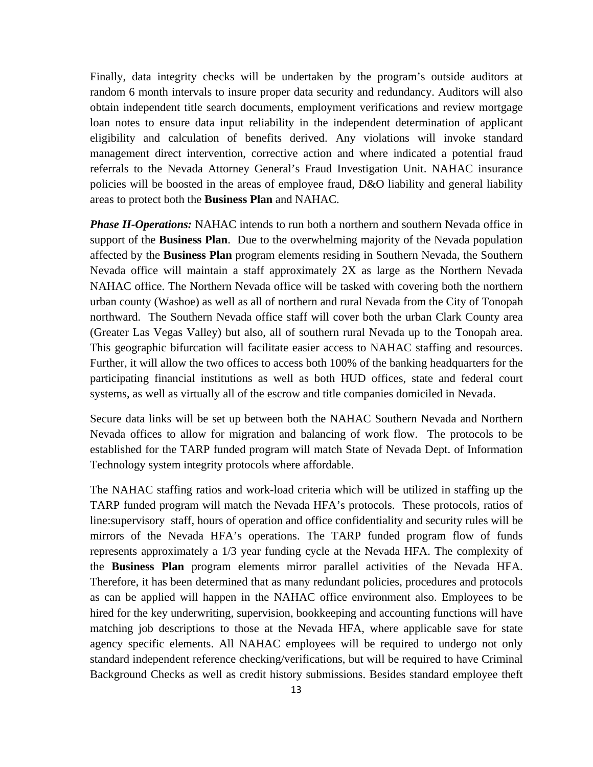Finally, data integrity checks will be undertaken by the program's outside auditors at random 6 month intervals to insure proper data security and redundancy. Auditors will also obtain independent title search documents, employment verifications and review mortgage loan notes to ensure data input reliability in the independent determination of applicant eligibility and calculation of benefits derived. Any violations will invoke standard management direct intervention, corrective action and where indicated a potential fraud referrals to the Nevada Attorney General's Fraud Investigation Unit. NAHAC insurance policies will be boosted in the areas of employee fraud, D&O liability and general liability areas to protect both the **Business Plan** and NAHAC.

*Phase II-Operations:* NAHAC intends to run both a northern and southern Nevada office in support of the **Business Plan**. Due to the overwhelming majority of the Nevada population affected by the **Business Plan** program elements residing in Southern Nevada, the Southern Nevada office will maintain a staff approximately 2X as large as the Northern Nevada NAHAC office. The Northern Nevada office will be tasked with covering both the northern urban county (Washoe) as well as all of northern and rural Nevada from the City of Tonopah northward. The Southern Nevada office staff will cover both the urban Clark County area (Greater Las Vegas Valley) but also, all of southern rural Nevada up to the Tonopah area. This geographic bifurcation will facilitate easier access to NAHAC staffing and resources. Further, it will allow the two offices to access both 100% of the banking headquarters for the participating financial institutions as well as both HUD offices, state and federal court systems, as well as virtually all of the escrow and title companies domiciled in Nevada.

Secure data links will be set up between both the NAHAC Southern Nevada and Northern Nevada offices to allow for migration and balancing of work flow. The protocols to be established for the TARP funded program will match State of Nevada Dept. of Information Technology system integrity protocols where affordable.

The NAHAC staffing ratios and work-load criteria which will be utilized in staffing up the TARP funded program will match the Nevada HFA's protocols. These protocols, ratios of line:supervisory staff, hours of operation and office confidentiality and security rules will be mirrors of the Nevada HFA's operations. The TARP funded program flow of funds represents approximately a 1/3 year funding cycle at the Nevada HFA. The complexity of the **Business Plan** program elements mirror parallel activities of the Nevada HFA. Therefore, it has been determined that as many redundant policies, procedures and protocols as can be applied will happen in the NAHAC office environment also. Employees to be hired for the key underwriting, supervision, bookkeeping and accounting functions will have matching job descriptions to those at the Nevada HFA, where applicable save for state agency specific elements. All NAHAC employees will be required to undergo not only standard independent reference checking/verifications, but will be required to have Criminal Background Checks as well as credit history submissions. Besides standard employee theft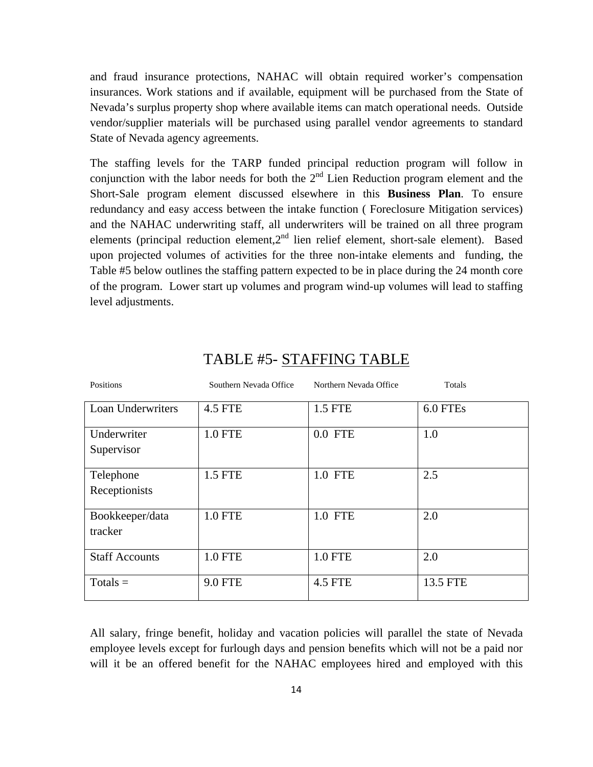and fraud insurance protections, NAHAC will obtain required worker's compensation insurances. Work stations and if available, equipment will be purchased from the State of Nevada's surplus property shop where available items can match operational needs. Outside vendor/supplier materials will be purchased using parallel vendor agreements to standard State of Nevada agency agreements.

The staffing levels for the TARP funded principal reduction program will follow in conjunction with the labor needs for both the  $2<sup>nd</sup>$  Lien Reduction program element and the Short-Sale program element discussed elsewhere in this **Business Plan**. To ensure redundancy and easy access between the intake function ( Foreclosure Mitigation services) and the NAHAC underwriting staff, all underwriters will be trained on all three program elements (principal reduction element,2nd lien relief element, short-sale element). Based upon projected volumes of activities for the three non-intake elements and funding, the Table #5 below outlines the staffing pattern expected to be in place during the 24 month core of the program. Lower start up volumes and program wind-up volumes will lead to staffing level adjustments.

| Positions                  | Southern Nevada Office | Northern Nevada Office | Totals   |
|----------------------------|------------------------|------------------------|----------|
| Loan Underwriters          | <b>4.5 FTE</b>         | 1.5 FTE                | 6.0 FTEs |
| Underwriter<br>Supervisor  | <b>1.0 FTE</b>         | $0.0$ FTE              | 1.0      |
| Telephone<br>Receptionists | 1.5 FTE                | 1.0 FTE                | 2.5      |
| Bookkeeper/data<br>tracker | <b>1.0 FTE</b>         | 1.0 FTE                | 2.0      |
| <b>Staff Accounts</b>      | <b>1.0 FTE</b>         | <b>1.0 FTE</b>         | 2.0      |
| $Totals =$                 | <b>9.0 FTE</b>         | <b>4.5 FTE</b>         | 13.5 FTE |

# TABLE #5- STAFFING TABLE

All salary, fringe benefit, holiday and vacation policies will parallel the state of Nevada employee levels except for furlough days and pension benefits which will not be a paid nor will it be an offered benefit for the NAHAC employees hired and employed with this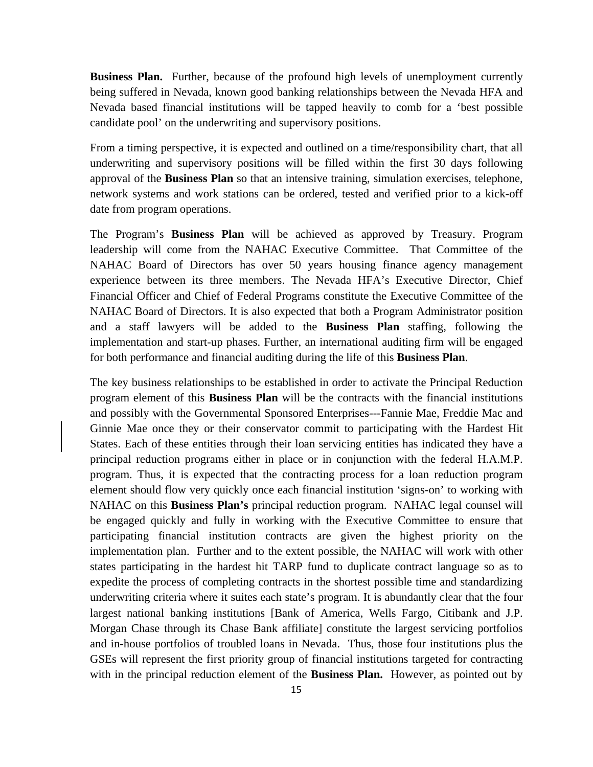**Business Plan.** Further, because of the profound high levels of unemployment currently being suffered in Nevada, known good banking relationships between the Nevada HFA and Nevada based financial institutions will be tapped heavily to comb for a 'best possible candidate pool' on the underwriting and supervisory positions.

From a timing perspective, it is expected and outlined on a time/responsibility chart, that all underwriting and supervisory positions will be filled within the first 30 days following approval of the **Business Plan** so that an intensive training, simulation exercises, telephone, network systems and work stations can be ordered, tested and verified prior to a kick-off date from program operations.

The Program's **Business Plan** will be achieved as approved by Treasury. Program leadership will come from the NAHAC Executive Committee. That Committee of the NAHAC Board of Directors has over 50 years housing finance agency management experience between its three members. The Nevada HFA's Executive Director, Chief Financial Officer and Chief of Federal Programs constitute the Executive Committee of the NAHAC Board of Directors. It is also expected that both a Program Administrator position and a staff lawyers will be added to the **Business Plan** staffing, following the implementation and start-up phases. Further, an international auditing firm will be engaged for both performance and financial auditing during the life of this **Business Plan**.

The key business relationships to be established in order to activate the Principal Reduction program element of this **Business Plan** will be the contracts with the financial institutions and possibly with the Governmental Sponsored Enterprises---Fannie Mae, Freddie Mac and Ginnie Mae once they or their conservator commit to participating with the Hardest Hit States. Each of these entities through their loan servicing entities has indicated they have a principal reduction programs either in place or in conjunction with the federal H.A.M.P. program. Thus, it is expected that the contracting process for a loan reduction program element should flow very quickly once each financial institution 'signs-on' to working with NAHAC on this **Business Plan's** principal reduction program. NAHAC legal counsel will be engaged quickly and fully in working with the Executive Committee to ensure that participating financial institution contracts are given the highest priority on the implementation plan. Further and to the extent possible, the NAHAC will work with other states participating in the hardest hit TARP fund to duplicate contract language so as to expedite the process of completing contracts in the shortest possible time and standardizing underwriting criteria where it suites each state's program. It is abundantly clear that the four largest national banking institutions [Bank of America, Wells Fargo, Citibank and J.P. Morgan Chase through its Chase Bank affiliate] constitute the largest servicing portfolios and in-house portfolios of troubled loans in Nevada. Thus, those four institutions plus the GSEs will represent the first priority group of financial institutions targeted for contracting with in the principal reduction element of the **Business Plan.** However, as pointed out by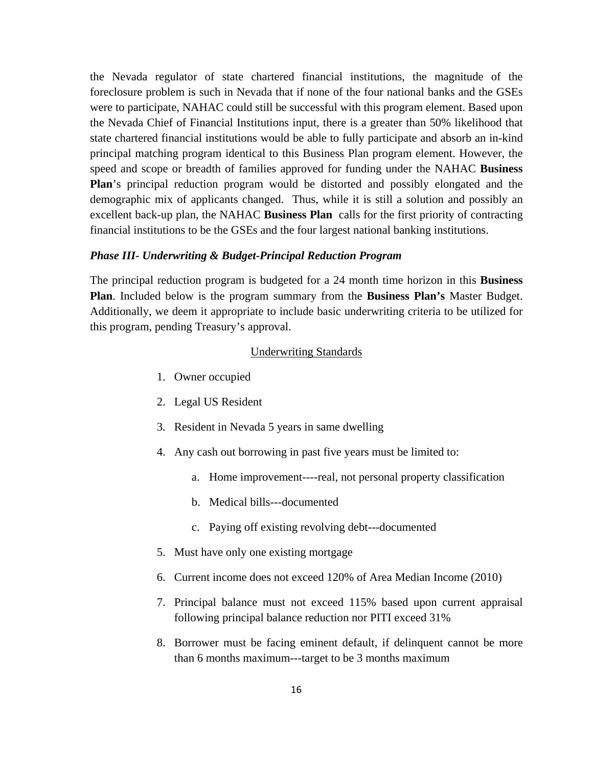the Nevada regulator of state chartered financial institutions, the magnitude of the foreclosure problem is such in Nevada that if none of the four national banks and the GSEs were to participate, NAHAC could still be successful with this program element. Based upon the Nevada Chief of Financial Institutions input, there is a greater than 50% likelihood that state chartered financial institutions would be able to fully participate and absorb an in-kind principal matching program identical to this Business Plan program element. However, the speed and scope or breadth of families approved for funding under the NAHAC **Business Plan**'s principal reduction program would be distorted and possibly elongated and the demographic mix of applicants changed. Thus, while it is still a solution and possibly an excellent back-up plan, the NAHAC **Business Plan** calls for the first priority of contracting financial institutions to be the GSEs and the four largest national banking institutions.

### *Phase III- Underwriting & Budget-Principal Reduction Program*

The principal reduction program is budgeted for a 24 month time horizon in this **Business Plan**. Included below is the program summary from the **Business Plan's** Master Budget. Additionally, we deem it appropriate to include basic underwriting criteria to be utilized for this program, pending Treasury's approval.

### Underwriting Standards

- 1. Owner occupied
- 2. Legal US Resident
- 3. Resident in Nevada 5 years in same dwelling
- 4. Any cash out borrowing in past five years must be limited to:
	- a. Home improvement----real, not personal property classification
	- b. Medical bills---documented
	- c. Paying off existing revolving debt---documented
- 5. Must have only one existing mortgage
- 6. Current income does not exceed 120% of Area Median Income (2010)
- 7. Principal balance must not exceed 115% based upon current appraisal following principal balance reduction nor PITI exceed 31%
- 8. Borrower must be facing eminent default, if delinquent cannot be more than 6 months maximum---target to be 3 months maximum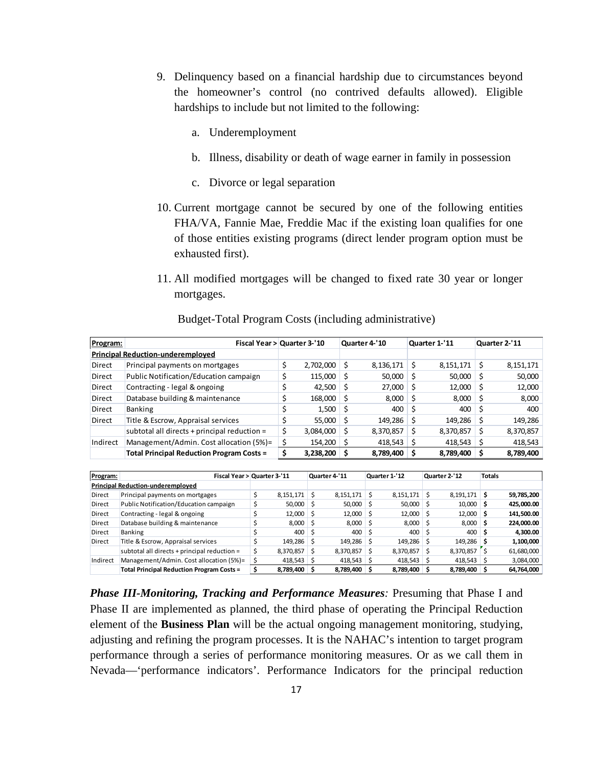- 9. Delinquency based on a financial hardship due to circumstances beyond the homeowner's control (no contrived defaults allowed). Eligible hardships to include but not limited to the following:
	- a. Underemployment
	- b. Illness, disability or death of wage earner in family in possession
	- c. Divorce or legal separation
- 10. Current mortgage cannot be secured by one of the following entities FHA/VA, Fannie Mae, Freddie Mac if the existing loan qualifies for one of those entities existing programs (direct lender program option must be exhausted first).
- 11. All modified mortgages will be changed to fixed rate 30 year or longer mortgages.

| Program:      | Fiscal Year > Quarter 3-'10                      |                 |    | Quarter 4-'10 |     | Quarter 1-'11     | Quarter 2-'11 |
|---------------|--------------------------------------------------|-----------------|----|---------------|-----|-------------------|---------------|
|               | <b>Principal Reduction-underemployed</b>         |                 |    |               |     |                   |               |
| <b>Direct</b> | Principal payments on mortgages                  | \$<br>2,702,000 |    | 8,136,171     |     | 8,151,171         | 8,151,171     |
| <b>Direct</b> | Public Notification/Education campaign           | \$<br>115,000   |    | 50,000        |     | $50,000$ \$       | 50,000        |
| Direct        | Contracting - legal & ongoing                    | 42,500          | -S | 27,000        |     | $12,000 \mid \xi$ | 12,000        |
| <b>Direct</b> | Database building & maintenance                  | 168,000         | -S | 8,000         |     | $8,000$ \$        | 8,000         |
| Direct        | Banking                                          | 1,500           | -S | 400           | l S | 400               | 400           |
| <b>Direct</b> | Title & Escrow, Appraisal services               | 55,000          |    | 149,286       |     | 149,286           | 149,286       |
|               | subtotal all directs + principal reduction =     | \$<br>3,084,000 |    | 8,370,857     | S   | 8,370,857         | 8,370,857     |
| Indirect      | Management/Admin. Cost allocation (5%)=          | 154,200         |    | 418,543       |     | 418,543           | 418,543       |
|               | <b>Total Principal Reduction Program Costs =</b> | 3,238,200       |    | 8,789,400     |     | 8,789,400         | 8,789,400     |

Budget-Total Program Costs (including administrative)

| Program:      | Fiscal Year > Quarter 3-'11                      |                   |    | Quarter 4-'11  |     | Quarter 1-'12     | Quarter 2-'12  | <b>Totals</b> |            |
|---------------|--------------------------------------------------|-------------------|----|----------------|-----|-------------------|----------------|---------------|------------|
|               | <b>Principal Reduction-underemployed</b>         |                   |    |                |     |                   |                |               |            |
| <b>Direct</b> | Principal payments on mortgages                  | $8,151,171$ \$    |    | $8,151,171$ \$ |     | $8,151,171$ \$    | $8,191,171$ \$ |               | 59,785,200 |
| <b>Direct</b> | Public Notification/Education campaign           | $50,000$ \$       |    | $50,000$ \$    |     | $50,000$ \$       | $10,000$ \$    |               | 425,000.00 |
| Direct        | Contracting - legal & ongoing                    | $12,000$ \$       |    | $12,000$ \$    |     | $12,000$ \$       | $12,000$ \$    |               | 141,500.00 |
| Direct        | Database building & maintenance                  | $8,000$ \$        |    | $8,000$ \$     |     | $8,000$ \$        | $8,000$ \$     |               | 224,000.00 |
| <b>Direct</b> | <b>Banking</b>                                   | $400 \, \text{S}$ |    | 400            | ۱\$ | $400 \, \text{S}$ | 400            | S             | 4,300.00   |
| Direct        | Title & Escrow, Appraisal services               | 149,286 \$        |    | 149,286        | ۱s  | 149,286 \$        | 149,286        | .s            | 1,100,000  |
|               | subtotal all directs + principal reduction =     | 8,370,857         | .Ŝ | 8,370,857      | -S  | 8,370,857         | 8,370,857      |               | 61,680,000 |
| Indirect      | Management/Admin. Cost allocation (5%)=          | $418,543$ \$      |    | $418,543$ \$   |     | $418,543$ \$      | 418,543        |               | 3,084,000  |
|               | <b>Total Principal Reduction Program Costs =</b> | 8,789,400 \$      |    | 8,789,400 \$   |     | 8,789,400 \$      | 8,789,400      |               | 64,764,000 |

*Phase III-Monitoring, Tracking and Performance Measures: Presuming that Phase I and* Phase II are implemented as planned, the third phase of operating the Principal Reduction element of the **Business Plan** will be the actual ongoing management monitoring, studying, adjusting and refining the program processes. It is the NAHAC's intention to target program performance through a series of performance monitoring measures. Or as we call them in Nevada—'performance indicators'. Performance Indicators for the principal reduction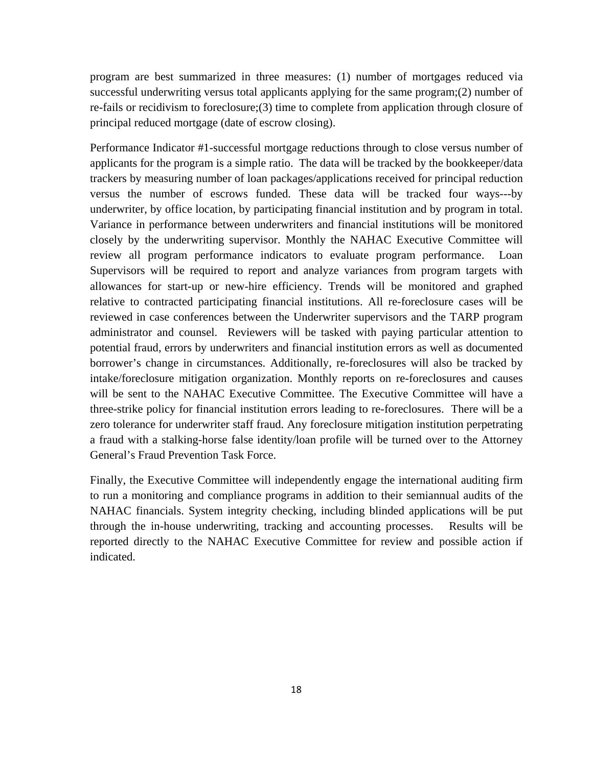program are best summarized in three measures: (1) number of mortgages reduced via successful underwriting versus total applicants applying for the same program;(2) number of re-fails or recidivism to foreclosure;(3) time to complete from application through closure of principal reduced mortgage (date of escrow closing).

Performance Indicator #1-successful mortgage reductions through to close versus number of applicants for the program is a simple ratio. The data will be tracked by the bookkeeper/data trackers by measuring number of loan packages/applications received for principal reduction versus the number of escrows funded. These data will be tracked four ways---by underwriter, by office location, by participating financial institution and by program in total. Variance in performance between underwriters and financial institutions will be monitored closely by the underwriting supervisor. Monthly the NAHAC Executive Committee will review all program performance indicators to evaluate program performance. Loan Supervisors will be required to report and analyze variances from program targets with allowances for start-up or new-hire efficiency. Trends will be monitored and graphed relative to contracted participating financial institutions. All re-foreclosure cases will be reviewed in case conferences between the Underwriter supervisors and the TARP program administrator and counsel. Reviewers will be tasked with paying particular attention to potential fraud, errors by underwriters and financial institution errors as well as documented borrower's change in circumstances. Additionally, re-foreclosures will also be tracked by intake/foreclosure mitigation organization. Monthly reports on re-foreclosures and causes will be sent to the NAHAC Executive Committee. The Executive Committee will have a three-strike policy for financial institution errors leading to re-foreclosures. There will be a zero tolerance for underwriter staff fraud. Any foreclosure mitigation institution perpetrating a fraud with a stalking-horse false identity/loan profile will be turned over to the Attorney General's Fraud Prevention Task Force.

Finally, the Executive Committee will independently engage the international auditing firm to run a monitoring and compliance programs in addition to their semiannual audits of the NAHAC financials. System integrity checking, including blinded applications will be put through the in-house underwriting, tracking and accounting processes. Results will be reported directly to the NAHAC Executive Committee for review and possible action if indicated.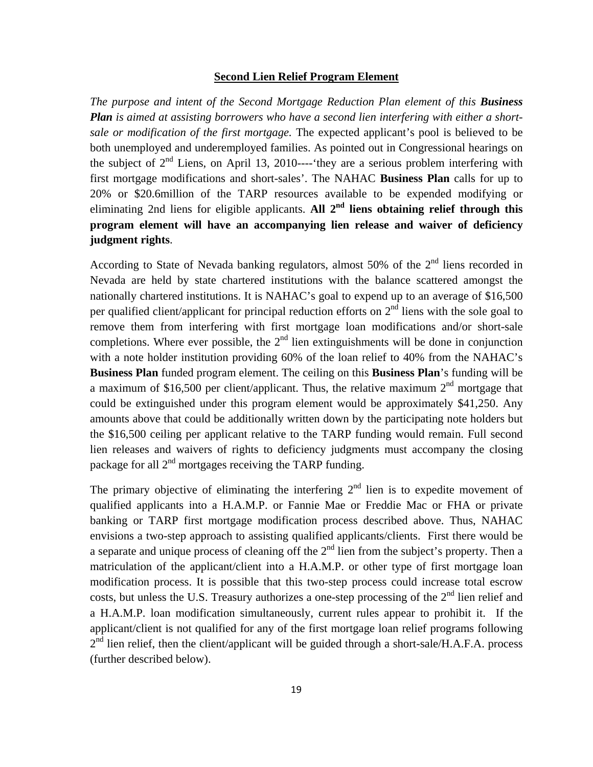### **Second Lien Relief Program Element**

*The purpose and intent of the Second Mortgage Reduction Plan element of this Business Plan is aimed at assisting borrowers who have a second lien interfering with either a shortsale or modification of the first mortgage.* The expected applicant's pool is believed to be both unemployed and underemployed families. As pointed out in Congressional hearings on the subject of  $2<sup>nd</sup>$  Liens, on April 13, 2010----'they are a serious problem interfering with first mortgage modifications and short-sales'. The NAHAC **Business Plan** calls for up to 20% or \$20.6million of the TARP resources available to be expended modifying or eliminating 2nd liens for eligible applicants. All  $2<sup>nd</sup>$  liens obtaining relief through this **program element will have an accompanying lien release and waiver of deficiency judgment rights**.

According to State of Nevada banking regulators, almost 50% of the  $2<sup>nd</sup>$  liens recorded in Nevada are held by state chartered institutions with the balance scattered amongst the nationally chartered institutions. It is NAHAC's goal to expend up to an average of \$16,500 per qualified client/applicant for principal reduction efforts on  $2<sup>nd</sup>$  liens with the sole goal to remove them from interfering with first mortgage loan modifications and/or short-sale completions. Where ever possible, the  $2<sup>nd</sup>$  lien extinguishments will be done in conjunction with a note holder institution providing 60% of the loan relief to 40% from the NAHAC's **Business Plan** funded program element. The ceiling on this **Business Plan**'s funding will be a maximum of \$16,500 per client/applicant. Thus, the relative maximum  $2<sup>nd</sup>$  mortgage that could be extinguished under this program element would be approximately \$41,250. Any amounts above that could be additionally written down by the participating note holders but the \$16,500 ceiling per applicant relative to the TARP funding would remain. Full second lien releases and waivers of rights to deficiency judgments must accompany the closing package for all  $2<sup>nd</sup>$  mortgages receiving the TARP funding.

The primary objective of eliminating the interfering  $2<sup>nd</sup>$  lien is to expedite movement of qualified applicants into a H.A.M.P. or Fannie Mae or Freddie Mac or FHA or private banking or TARP first mortgage modification process described above. Thus, NAHAC envisions a two-step approach to assisting qualified applicants/clients. First there would be a separate and unique process of cleaning off the  $2<sup>nd</sup>$  lien from the subject's property. Then a matriculation of the applicant/client into a H.A.M.P. or other type of first mortgage loan modification process. It is possible that this two-step process could increase total escrow costs, but unless the U.S. Treasury authorizes a one-step processing of the  $2<sup>nd</sup>$  lien relief and a H.A.M.P. loan modification simultaneously, current rules appear to prohibit it. If the applicant/client is not qualified for any of the first mortgage loan relief programs following  $2<sup>nd</sup>$  lien relief, then the client/applicant will be guided through a short-sale/H.A.F.A. process (further described below).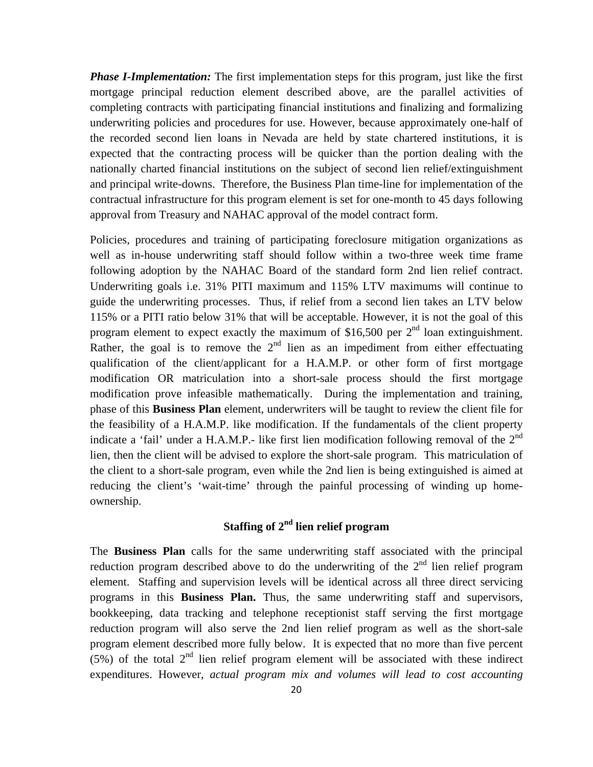*Phase I-Implementation:* The first implementation steps for this program, just like the first mortgage principal reduction element described above, are the parallel activities of completing contracts with participating financial institutions and finalizing and formalizing underwriting policies and procedures for use. However, because approximately one-half of the recorded second lien loans in Nevada are held by state chartered institutions, it is expected that the contracting process will be quicker than the portion dealing with the nationally charted financial institutions on the subject of second lien relief/extinguishment and principal write-downs. Therefore, the Business Plan time-line for implementation of the contractual infrastructure for this program element is set for one-month to 45 days following approval from Treasury and NAHAC approval of the model contract form.

Policies, procedures and training of participating foreclosure mitigation organizations as well as in-house underwriting staff should follow within a two-three week time frame following adoption by the NAHAC Board of the standard form 2nd lien relief contract. Underwriting goals i.e. 31% PITI maximum and 115% LTV maximums will continue to guide the underwriting processes. Thus, if relief from a second lien takes an LTV below 115% or a PITI ratio below 31% that will be acceptable. However, it is not the goal of this program element to expect exactly the maximum of  $$16,500$  per  $2<sup>nd</sup>$  loan extinguishment. Rather, the goal is to remove the  $2<sup>nd</sup>$  lien as an impediment from either effectuating qualification of the client/applicant for a H.A.M.P. or other form of first mortgage modification OR matriculation into a short-sale process should the first mortgage modification prove infeasible mathematically. During the implementation and training, phase of this **Business Plan** element, underwriters will be taught to review the client file for the feasibility of a H.A.M.P. like modification. If the fundamentals of the client property indicate a 'fail' under a H.A.M.P.- like first lien modification following removal of the  $2<sup>nd</sup>$ lien, then the client will be advised to explore the short-sale program. This matriculation of the client to a short-sale program, even while the 2nd lien is being extinguished is aimed at reducing the client's 'wait-time' through the painful processing of winding up homeownership.

# **Staffing of 2nd lien relief program**

The **Business Plan** calls for the same underwriting staff associated with the principal reduction program described above to do the underwriting of the  $2<sup>nd</sup>$  lien relief program element. Staffing and supervision levels will be identical across all three direct servicing programs in this **Business Plan.** Thus, the same underwriting staff and supervisors, bookkeeping, data tracking and telephone receptionist staff serving the first mortgage reduction program will also serve the 2nd lien relief program as well as the short-sale program element described more fully below. It is expected that no more than five percent (5%) of the total  $2<sup>nd</sup>$  lien relief program element will be associated with these indirect expenditures. However, *actual program mix and volumes will lead to cost accounting*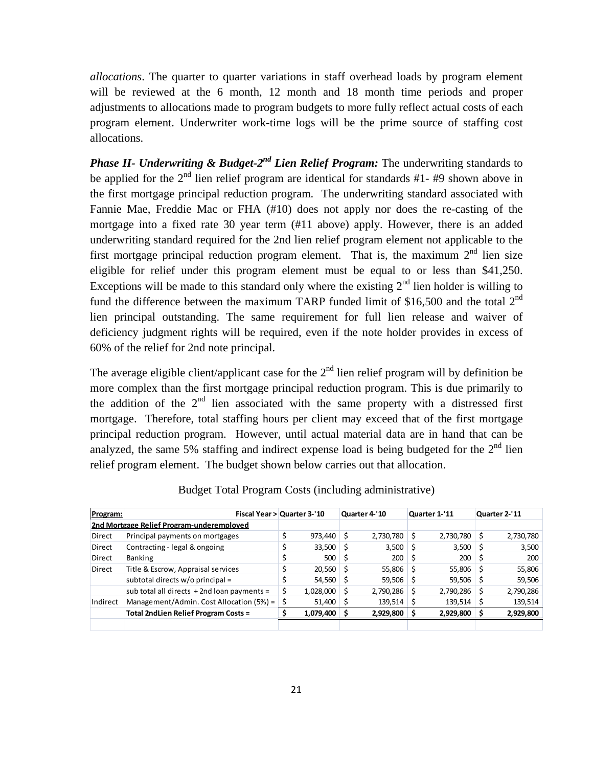*allocations*. The quarter to quarter variations in staff overhead loads by program element will be reviewed at the 6 month, 12 month and 18 month time periods and proper adjustments to allocations made to program budgets to more fully reflect actual costs of each program element. Underwriter work-time logs will be the prime source of staffing cost allocations.

*Phase II- Underwriting & Budget-2<sup>nd</sup> Lien Relief Program:* The underwriting standards to be applied for the  $2<sup>nd</sup>$  lien relief program are identical for standards #1- #9 shown above in the first mortgage principal reduction program. The underwriting standard associated with Fannie Mae, Freddie Mac or FHA (#10) does not apply nor does the re-casting of the mortgage into a fixed rate 30 year term (#11 above) apply. However, there is an added underwriting standard required for the 2nd lien relief program element not applicable to the first mortgage principal reduction program element. That is, the maximum  $2<sup>nd</sup>$  lien size eligible for relief under this program element must be equal to or less than \$41,250. Exceptions will be made to this standard only where the existing  $2<sup>nd</sup>$  lien holder is willing to fund the difference between the maximum TARP funded limit of \$16,500 and the total  $2<sup>nd</sup>$ lien principal outstanding. The same requirement for full lien release and waiver of deficiency judgment rights will be required, even if the note holder provides in excess of 60% of the relief for 2nd note principal.

The average eligible client/applicant case for the  $2<sup>nd</sup>$  lien relief program will by definition be more complex than the first mortgage principal reduction program. This is due primarily to the addition of the  $2<sup>nd</sup>$  lien associated with the same property with a distressed first mortgage. Therefore, total staffing hours per client may exceed that of the first mortgage principal reduction program. However, until actual material data are in hand that can be analyzed, the same 5% staffing and indirect expense load is being budgeted for the  $2<sup>nd</sup>$  lien relief program element. The budget shown below carries out that allocation.

| Program:      | Fiscal Year > Quarter 3-'10                   |    |           |    | Quarter 4-'10 |            | Quarter 1-'11 | Quarter 2-'11 |
|---------------|-----------------------------------------------|----|-----------|----|---------------|------------|---------------|---------------|
|               | 2nd Mortgage Relief Program-underemploved     |    |           |    |               |            |               |               |
| <b>Direct</b> | Principal payments on mortgages               |    | 973,440   | S  | 2,730,780     | ΙS         | 2,730,780     | 2,730,780     |
| Direct        | Contracting - legal & ongoing                 |    | 33,500    | -S | 3,500         |            | $3,500$ \$    | 3,500         |
| Direct        | Banking                                       |    | 500       | S  | 200           | $\vert$ \$ | 200           | 200           |
| <b>Direct</b> | Title & Escrow, Appraisal services            |    | 20,560    | -S | 55,806        |            | 55,806        | 55,806        |
|               | subtotal directs w/o principal =              |    | 54,560    |    | 59,506        |            | 59,506        | 59,506        |
|               | sub total all directs $+2$ nd loan payments = | \$ | 1,028,000 |    | 2,790,286     | S          | 2,790,286     | 2,790,286     |
| Indirect      | Management/Admin. Cost Allocation (5%) =      | Ś  | 51,400    |    | 139,514       |            | 139,514       | 139,514       |
|               | Total 2ndLien Relief Program Costs =          |    | 1,079,400 |    | 2,929,800     |            | 2,929,800     | 2,929,800     |
|               |                                               |    |           |    |               |            |               |               |

Budget Total Program Costs (including administrative)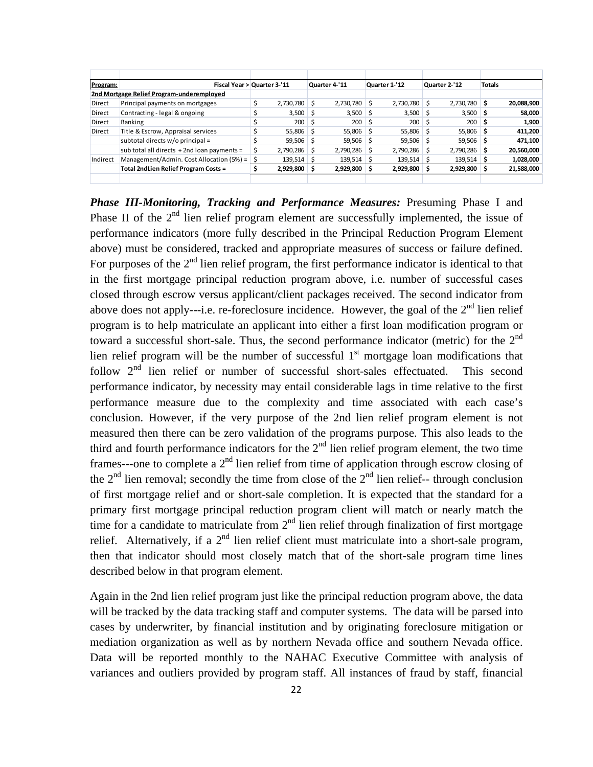| Program:      | Fiscal Year > Quarter 3-'11                |    |             |    | Quarter 4-'11 |    | Quarter 1-'12 |    | Quarter 2-'12     | <b>Totals</b> |            |
|---------------|--------------------------------------------|----|-------------|----|---------------|----|---------------|----|-------------------|---------------|------------|
|               | 2nd Mortgage Relief Program-underemploved  |    |             |    |               |    |               |    |                   |               |            |
| <b>Direct</b> | Principal payments on mortgages            |    | 2,730,780   | Ś  | 2,730,780     |    | 2,730,780     |    | 2,730,780 \$      |               | 20,088,900 |
| <b>Direct</b> | Contracting - legal & ongoing              |    | 3,500       | S  | 3,500         | -S | 3,500         |    | $3,500$ \$        |               | 58,000     |
| <b>Direct</b> | Banking                                    |    | 200         | S  | 200           |    | 200           | Ś  | $200 \, \text{S}$ |               | 1,900      |
| Direct        | Title & Escrow, Appraisal services         |    | 55,806 \$   |    | 55,806 \$     |    | 55,806        | -S | 55,806 \$         |               | 411,200    |
|               | subtotal directs w/o principal =           |    | $59,506$ \$ |    | $59,506$ \$   |    | 59,506        |    | 59,506 \$         |               | 471,100    |
|               | sub total all directs +2nd loan payments = |    | 2,790,286   | S  | 2,790,286     |    | 2,790,286     | S  | $2,790,286$ \$    |               | 20,560,000 |
| Indirect      | Management/Admin. Cost Allocation (5%) =   | -S | 139,514     | -S | $139,514$ \$  |    | 139,514       | S  | $139,514$ \$      |               | 1,028,000  |
|               | Total 2ndLien Relief Program Costs =       |    | 2,929,800   |    | 2,929,800     |    | 2,929,800     |    | 2,929,800 \$      |               | 21,588,000 |
|               |                                            |    |             |    |               |    |               |    |                   |               |            |

*Phase III-Monitoring, Tracking and Performance Measures: Presuming Phase I and* Phase II of the  $2<sup>nd</sup>$  lien relief program element are successfully implemented, the issue of performance indicators (more fully described in the Principal Reduction Program Element above) must be considered, tracked and appropriate measures of success or failure defined. For purposes of the  $2<sup>nd</sup>$  lien relief program, the first performance indicator is identical to that in the first mortgage principal reduction program above, i.e. number of successful cases closed through escrow versus applicant/client packages received. The second indicator from above does not apply---i.e. re-foreclosure incidence. However, the goal of the  $2<sup>nd</sup>$  lien relief program is to help matriculate an applicant into either a first loan modification program or toward a successful short-sale. Thus, the second performance indicator (metric) for the  $2<sup>nd</sup>$ lien relief program will be the number of successful  $1<sup>st</sup>$  mortgage loan modifications that follow  $2<sup>nd</sup>$  lien relief or number of successful short-sales effectuated. This second performance indicator, by necessity may entail considerable lags in time relative to the first performance measure due to the complexity and time associated with each case's conclusion. However, if the very purpose of the 2nd lien relief program element is not measured then there can be zero validation of the programs purpose. This also leads to the third and fourth performance indicators for the  $2<sup>nd</sup>$  lien relief program element, the two time frames---one to complete a  $2<sup>nd</sup>$  lien relief from time of application through escrow closing of the  $2<sup>nd</sup>$  lien removal; secondly the time from close of the  $2<sup>nd</sup>$  lien relief-- through conclusion of first mortgage relief and or short-sale completion. It is expected that the standard for a primary first mortgage principal reduction program client will match or nearly match the time for a candidate to matriculate from  $2<sup>nd</sup>$  lien relief through finalization of first mortgage relief. Alternatively, if a  $2<sup>nd</sup>$  lien relief client must matriculate into a short-sale program, then that indicator should most closely match that of the short-sale program time lines described below in that program element.

Again in the 2nd lien relief program just like the principal reduction program above, the data will be tracked by the data tracking staff and computer systems. The data will be parsed into cases by underwriter, by financial institution and by originating foreclosure mitigation or mediation organization as well as by northern Nevada office and southern Nevada office. Data will be reported monthly to the NAHAC Executive Committee with analysis of variances and outliers provided by program staff. All instances of fraud by staff, financial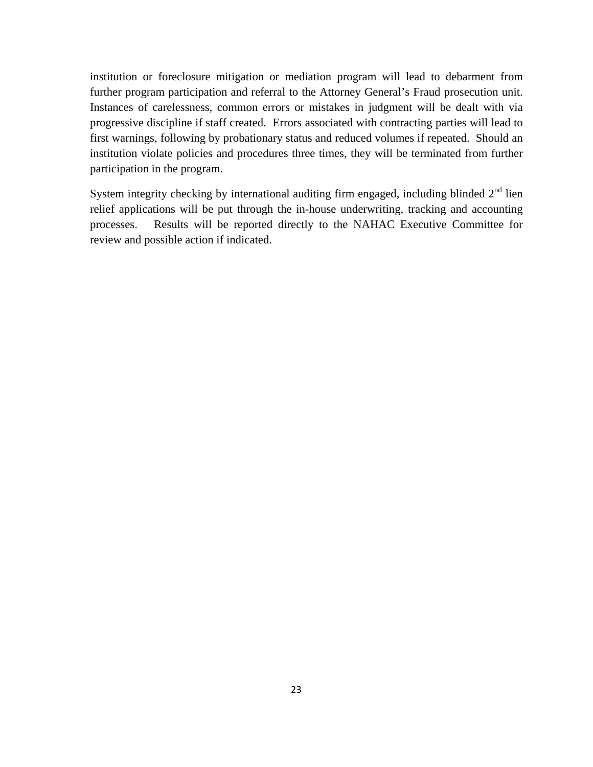institution or foreclosure mitigation or mediation program will lead to debarment from further program participation and referral to the Attorney General's Fraud prosecution unit. Instances of carelessness, common errors or mistakes in judgment will be dealt with via progressive discipline if staff created. Errors associated with contracting parties will lead to first warnings, following by probationary status and reduced volumes if repeated. Should an institution violate policies and procedures three times, they will be terminated from further participation in the program.

System integrity checking by international auditing firm engaged, including blinded  $2<sup>nd</sup>$  lien relief applications will be put through the in-house underwriting, tracking and accounting processes. Results will be reported directly to the NAHAC Executive Committee for review and possible action if indicated.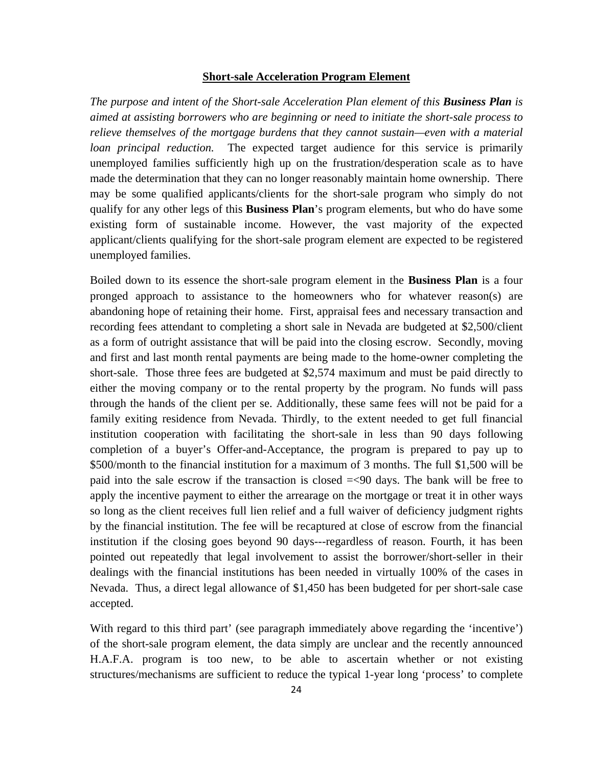#### **Short-sale Acceleration Program Element**

*The purpose and intent of the Short-sale Acceleration Plan element of this Business Plan is aimed at assisting borrowers who are beginning or need to initiate the short-sale process to relieve themselves of the mortgage burdens that they cannot sustain—even with a material loan principal reduction.* The expected target audience for this service is primarily unemployed families sufficiently high up on the frustration/desperation scale as to have made the determination that they can no longer reasonably maintain home ownership. There may be some qualified applicants/clients for the short-sale program who simply do not qualify for any other legs of this **Business Plan**'s program elements, but who do have some existing form of sustainable income. However, the vast majority of the expected applicant/clients qualifying for the short-sale program element are expected to be registered unemployed families.

Boiled down to its essence the short-sale program element in the **Business Plan** is a four pronged approach to assistance to the homeowners who for whatever reason(s) are abandoning hope of retaining their home. First, appraisal fees and necessary transaction and recording fees attendant to completing a short sale in Nevada are budgeted at \$2,500/client as a form of outright assistance that will be paid into the closing escrow. Secondly, moving and first and last month rental payments are being made to the home-owner completing the short-sale. Those three fees are budgeted at \$2,574 maximum and must be paid directly to either the moving company or to the rental property by the program. No funds will pass through the hands of the client per se. Additionally, these same fees will not be paid for a family exiting residence from Nevada. Thirdly, to the extent needed to get full financial institution cooperation with facilitating the short-sale in less than 90 days following completion of a buyer's Offer-and-Acceptance, the program is prepared to pay up to \$500/month to the financial institution for a maximum of 3 months. The full \$1,500 will be paid into the sale escrow if the transaction is closed =<90 days. The bank will be free to apply the incentive payment to either the arrearage on the mortgage or treat it in other ways so long as the client receives full lien relief and a full waiver of deficiency judgment rights by the financial institution. The fee will be recaptured at close of escrow from the financial institution if the closing goes beyond 90 days---regardless of reason. Fourth, it has been pointed out repeatedly that legal involvement to assist the borrower/short-seller in their dealings with the financial institutions has been needed in virtually 100% of the cases in Nevada. Thus, a direct legal allowance of \$1,450 has been budgeted for per short-sale case accepted.

With regard to this third part' (see paragraph immediately above regarding the 'incentive') of the short-sale program element, the data simply are unclear and the recently announced H.A.F.A. program is too new, to be able to ascertain whether or not existing structures/mechanisms are sufficient to reduce the typical 1-year long 'process' to complete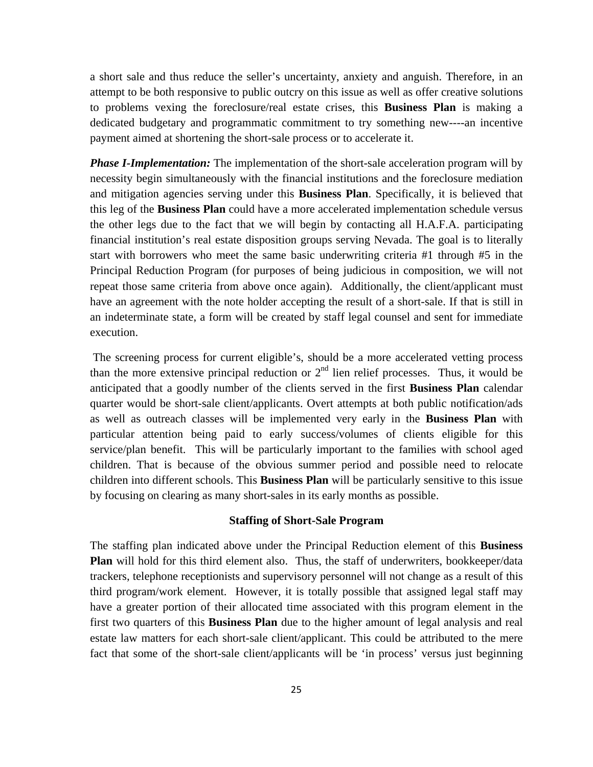a short sale and thus reduce the seller's uncertainty, anxiety and anguish. Therefore, in an attempt to be both responsive to public outcry on this issue as well as offer creative solutions to problems vexing the foreclosure/real estate crises, this **Business Plan** is making a dedicated budgetary and programmatic commitment to try something new----an incentive payment aimed at shortening the short-sale process or to accelerate it.

*Phase I-Implementation:* The implementation of the short-sale acceleration program will by necessity begin simultaneously with the financial institutions and the foreclosure mediation and mitigation agencies serving under this **Business Plan**. Specifically, it is believed that this leg of the **Business Plan** could have a more accelerated implementation schedule versus the other legs due to the fact that we will begin by contacting all H.A.F.A. participating financial institution's real estate disposition groups serving Nevada. The goal is to literally start with borrowers who meet the same basic underwriting criteria #1 through #5 in the Principal Reduction Program (for purposes of being judicious in composition, we will not repeat those same criteria from above once again). Additionally, the client/applicant must have an agreement with the note holder accepting the result of a short-sale. If that is still in an indeterminate state, a form will be created by staff legal counsel and sent for immediate execution.

 The screening process for current eligible's, should be a more accelerated vetting process than the more extensive principal reduction or  $2<sup>nd</sup>$  lien relief processes. Thus, it would be anticipated that a goodly number of the clients served in the first **Business Plan** calendar quarter would be short-sale client/applicants. Overt attempts at both public notification/ads as well as outreach classes will be implemented very early in the **Business Plan** with particular attention being paid to early success/volumes of clients eligible for this service/plan benefit. This will be particularly important to the families with school aged children. That is because of the obvious summer period and possible need to relocate children into different schools. This **Business Plan** will be particularly sensitive to this issue by focusing on clearing as many short-sales in its early months as possible.

#### **Staffing of Short-Sale Program**

The staffing plan indicated above under the Principal Reduction element of this **Business Plan** will hold for this third element also. Thus, the staff of underwriters, bookkeeper/data trackers, telephone receptionists and supervisory personnel will not change as a result of this third program/work element. However, it is totally possible that assigned legal staff may have a greater portion of their allocated time associated with this program element in the first two quarters of this **Business Plan** due to the higher amount of legal analysis and real estate law matters for each short-sale client/applicant. This could be attributed to the mere fact that some of the short-sale client/applicants will be 'in process' versus just beginning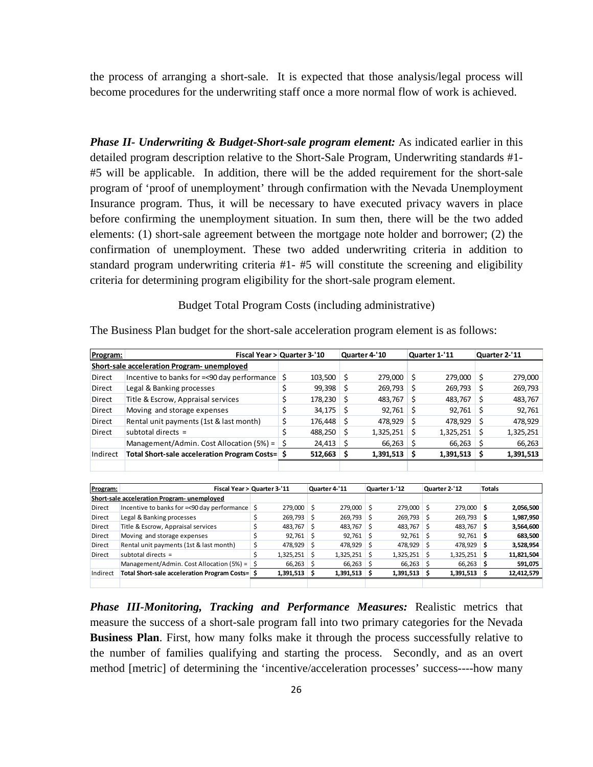the process of arranging a short-sale. It is expected that those analysis/legal process will become procedures for the underwriting staff once a more normal flow of work is achieved.

*Phase II- Underwriting & Budget-Short-sale program element:* As indicated earlier in this detailed program description relative to the Short-Sale Program, Underwriting standards #1- #5 will be applicable. In addition, there will be the added requirement for the short-sale program of 'proof of unemployment' through confirmation with the Nevada Unemployment Insurance program. Thus, it will be necessary to have executed privacy wavers in place before confirming the unemployment situation. In sum then, there will be the two added elements: (1) short-sale agreement between the mortgage note holder and borrower; (2) the confirmation of unemployment. These two added underwriting criteria in addition to standard program underwriting criteria #1- #5 will constitute the screening and eligibility criteria for determining program eligibility for the short-sale program element.

#### Budget Total Program Costs (including administrative)

| Program: |                                                 |    | Fiscal Year > Quarter 3-'10 |         | Quarter 4-'10 |           |               | Quarter 1-'11  |     | Quarter 2-'11 |
|----------|-------------------------------------------------|----|-----------------------------|---------|---------------|-----------|---------------|----------------|-----|---------------|
|          | Short-sale acceleration Program- unemployed     |    |                             |         |               |           |               |                |     |               |
| Direct   | Incentive to banks for =< 90 day performance    |    | \$                          | 103,500 | \$            | 279,000   | Ś             | 279,000        | Ś   | 279,000       |
| Direct   | Legal & Banking processes                       |    | \$                          | 99,398  | \$            | 269,793   | \$            | 269,793        | \$  | 269,793       |
| Direct   | Title & Escrow, Appraisal services              |    | \$                          | 178,230 | Ś             | 483,767   | Ś             | 483,767        | Ś   | 483,767       |
| Direct   | Moving and storage expenses                     |    | \$                          | 34,175  | \$            | 92,761    | \$            | 92,761         | \$  | 92,761        |
| Direct   | Rental unit payments (1st & last month)         |    | \$                          | 176,448 | Ś             | 478,929   | Ś             | 478,929        | Ś   | 478,929       |
| Direct   | subtotal directs $=$                            |    | \$                          | 488,250 | Ś             | 1,325,251 | Ś             | 1,325,251      | Ś   | 1,325,251     |
|          | Management/Admin. Cost Allocation (5%) =        |    | \$                          | 24,413  | \$            | 66,263    | \$            | 66,263         | \$  | 66,263        |
| Indirect | Total Short-sale acceleration Program Costs= \$ |    |                             | 512,663 | \$            | 1,391,513 | \$            | 1,391,513      | \$  | 1,391,513     |
|          |                                                 |    |                             |         |               |           |               |                |     |               |
|          |                                                 |    |                             |         |               |           |               |                |     |               |
| Program: | Fiscal Year > Quarter 3-'11                     |    | Quarter 4-'11               |         | Quarter 1-'12 |           | Quarter 2-'12 |                |     | <b>Totals</b> |
|          | Short-sale acceleration Program- unemployed     |    |                             |         |               |           |               |                |     |               |
| Direct   | Incentive to banks for =< 90 day performance    | Ś  | 279,000                     | \$      | 279,000       | Ś.        | 279,000       | \$<br>279,000  | Ŝ   | 2,056,500     |
| Direct   | Legal & Banking processes                       | \$ | 269.793                     | \$      | 269.793       | Ś.        | 269.793       | Ś<br>269.793   | Ŝ   | 1,987,950     |
| Direct   | Title & Escrow, Appraisal services              | \$ | 483,767                     | Ŝ       | 483,767       | Ŝ         | 483,767       | 483.767<br>Ŝ   | Ŝ   | 3,564,600     |
| Direct   | Moving and storage expenses                     | \$ | 92,761                      | Ś       | 92.761        | Ŝ         | 92.761        | Ŝ<br>92.761    | Ŝ   | 683,500       |
| Direct   | Rental unit payments (1st & last month)         | \$ | 478,929                     | \$      | 478,929       | \$        | 478,929       | \$<br>478,929  | \$. | 3,528,954     |
| Direct   | subtotal directs $=$                            | Ś  | 1,325,251                   | Ś       | 1,325,251     | Ŝ         | 1,325,251     | Ŝ<br>1,325,251 | \$. | 11,821,504    |
|          | Management/Admin. Cost Allocation (5%) =        | Ś  | 66,263                      | \$      | 66,263        | S         | 66,263        | \$.<br>66,263  | \$. | 591,075       |
| Indirect | Total Short-sale acceleration Program Costs= \$ |    | 1,391,513                   | S.      | 1,391,513     | s         | 1,391,513     | S<br>1,391,513 | S.  | 12,412,579    |

The Business Plan budget for the short-sale acceleration program element is as follows:

*Phase III-Monitoring, Tracking and Performance Measures:* Realistic metrics that measure the success of a short-sale program fall into two primary categories for the Nevada **Business Plan**. First, how many folks make it through the process successfully relative to the number of families qualifying and starting the process. Secondly, and as an overt method [metric] of determining the 'incentive/acceleration processes' success----how many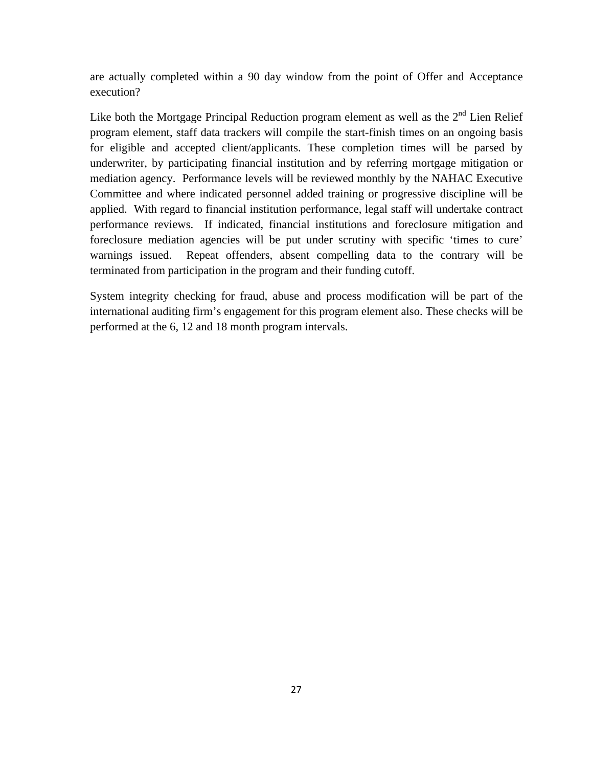are actually completed within a 90 day window from the point of Offer and Acceptance execution?

Like both the Mortgage Principal Reduction program element as well as the  $2<sup>nd</sup>$  Lien Relief program element, staff data trackers will compile the start-finish times on an ongoing basis for eligible and accepted client/applicants. These completion times will be parsed by underwriter, by participating financial institution and by referring mortgage mitigation or mediation agency. Performance levels will be reviewed monthly by the NAHAC Executive Committee and where indicated personnel added training or progressive discipline will be applied. With regard to financial institution performance, legal staff will undertake contract performance reviews. If indicated, financial institutions and foreclosure mitigation and foreclosure mediation agencies will be put under scrutiny with specific 'times to cure' warnings issued. Repeat offenders, absent compelling data to the contrary will be terminated from participation in the program and their funding cutoff.

System integrity checking for fraud, abuse and process modification will be part of the international auditing firm's engagement for this program element also. These checks will be performed at the 6, 12 and 18 month program intervals.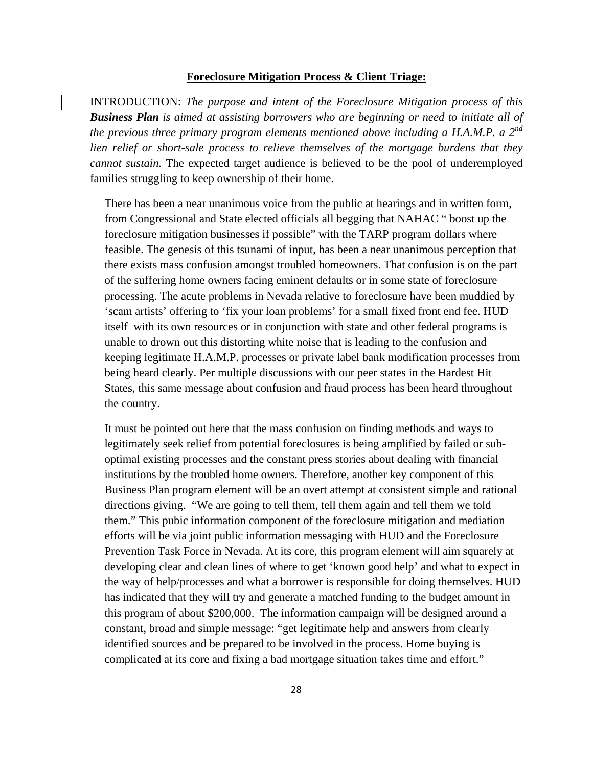### **Foreclosure Mitigation Process & Client Triage:**

INTRODUCTION: *The purpose and intent of the Foreclosure Mitigation process of this Business Plan is aimed at assisting borrowers who are beginning or need to initiate all of the previous three primary program elements mentioned above including a H.A.M.P. a 2nd lien relief or short-sale process to relieve themselves of the mortgage burdens that they cannot sustain.* The expected target audience is believed to be the pool of underemployed families struggling to keep ownership of their home.

There has been a near unanimous voice from the public at hearings and in written form, from Congressional and State elected officials all begging that NAHAC " boost up the foreclosure mitigation businesses if possible" with the TARP program dollars where feasible. The genesis of this tsunami of input, has been a near unanimous perception that there exists mass confusion amongst troubled homeowners. That confusion is on the part of the suffering home owners facing eminent defaults or in some state of foreclosure processing. The acute problems in Nevada relative to foreclosure have been muddied by 'scam artists' offering to 'fix your loan problems' for a small fixed front end fee. HUD itself with its own resources or in conjunction with state and other federal programs is unable to drown out this distorting white noise that is leading to the confusion and keeping legitimate H.A.M.P. processes or private label bank modification processes from being heard clearly. Per multiple discussions with our peer states in the Hardest Hit States, this same message about confusion and fraud process has been heard throughout the country.

It must be pointed out here that the mass confusion on finding methods and ways to legitimately seek relief from potential foreclosures is being amplified by failed or suboptimal existing processes and the constant press stories about dealing with financial institutions by the troubled home owners. Therefore, another key component of this Business Plan program element will be an overt attempt at consistent simple and rational directions giving. "We are going to tell them, tell them again and tell them we told them." This pubic information component of the foreclosure mitigation and mediation efforts will be via joint public information messaging with HUD and the Foreclosure Prevention Task Force in Nevada. At its core, this program element will aim squarely at developing clear and clean lines of where to get 'known good help' and what to expect in the way of help/processes and what a borrower is responsible for doing themselves. HUD has indicated that they will try and generate a matched funding to the budget amount in this program of about \$200,000. The information campaign will be designed around a constant, broad and simple message: "get legitimate help and answers from clearly identified sources and be prepared to be involved in the process. Home buying is complicated at its core and fixing a bad mortgage situation takes time and effort."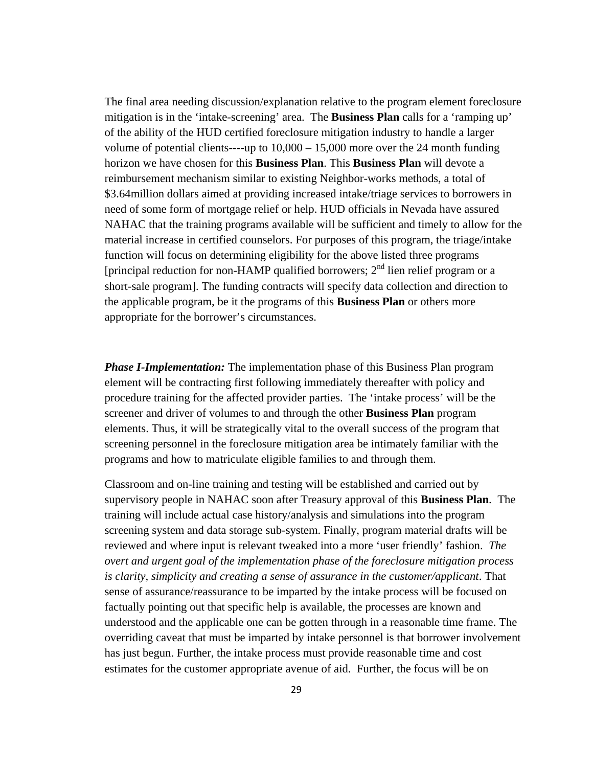The final area needing discussion/explanation relative to the program element foreclosure mitigation is in the 'intake-screening' area. The **Business Plan** calls for a 'ramping up' of the ability of the HUD certified foreclosure mitigation industry to handle a larger volume of potential clients----up to  $10,000 - 15,000$  more over the 24 month funding horizon we have chosen for this **Business Plan**. This **Business Plan** will devote a reimbursement mechanism similar to existing Neighbor-works methods, a total of \$3.64million dollars aimed at providing increased intake/triage services to borrowers in need of some form of mortgage relief or help. HUD officials in Nevada have assured NAHAC that the training programs available will be sufficient and timely to allow for the material increase in certified counselors. For purposes of this program, the triage/intake function will focus on determining eligibility for the above listed three programs [principal reduction for non-HAMP qualified borrowers;  $2<sup>nd</sup>$  lien relief program or a short-sale program]. The funding contracts will specify data collection and direction to the applicable program, be it the programs of this **Business Plan** or others more appropriate for the borrower's circumstances.

*Phase I-Implementation:* The implementation phase of this Business Plan program element will be contracting first following immediately thereafter with policy and procedure training for the affected provider parties. The 'intake process' will be the screener and driver of volumes to and through the other **Business Plan** program elements. Thus, it will be strategically vital to the overall success of the program that screening personnel in the foreclosure mitigation area be intimately familiar with the programs and how to matriculate eligible families to and through them.

Classroom and on-line training and testing will be established and carried out by supervisory people in NAHAC soon after Treasury approval of this **Business Plan**. The training will include actual case history/analysis and simulations into the program screening system and data storage sub-system. Finally, program material drafts will be reviewed and where input is relevant tweaked into a more 'user friendly' fashion. *The overt and urgent goal of the implementation phase of the foreclosure mitigation process is clarity, simplicity and creating a sense of assurance in the customer/applicant*. That sense of assurance/reassurance to be imparted by the intake process will be focused on factually pointing out that specific help is available, the processes are known and understood and the applicable one can be gotten through in a reasonable time frame. The overriding caveat that must be imparted by intake personnel is that borrower involvement has just begun. Further, the intake process must provide reasonable time and cost estimates for the customer appropriate avenue of aid. Further, the focus will be on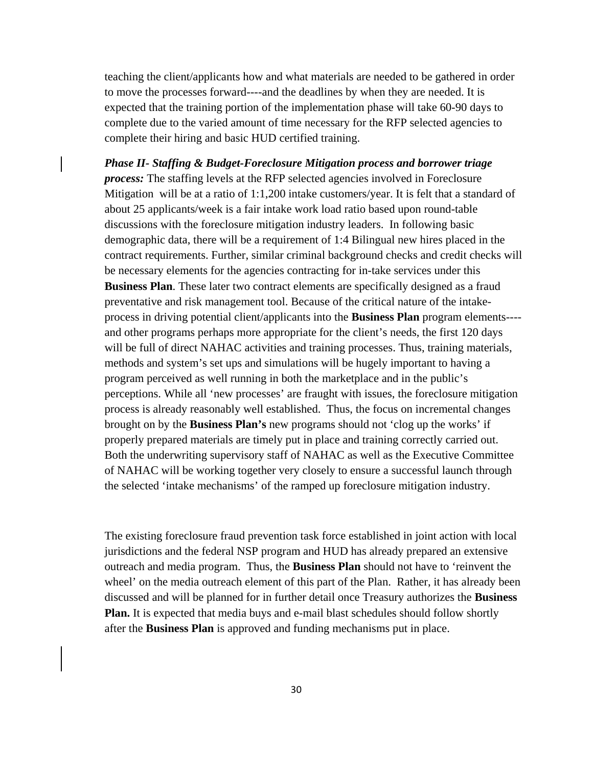teaching the client/applicants how and what materials are needed to be gathered in order to move the processes forward----and the deadlines by when they are needed. It is expected that the training portion of the implementation phase will take 60-90 days to complete due to the varied amount of time necessary for the RFP selected agencies to complete their hiring and basic HUD certified training.

*Phase II- Staffing & Budget-Foreclosure Mitigation process and borrower triage process:* The staffing levels at the RFP selected agencies involved in Foreclosure Mitigation will be at a ratio of 1:1,200 intake customers/year. It is felt that a standard of about 25 applicants/week is a fair intake work load ratio based upon round-table discussions with the foreclosure mitigation industry leaders. In following basic demographic data, there will be a requirement of 1:4 Bilingual new hires placed in the contract requirements. Further, similar criminal background checks and credit checks will be necessary elements for the agencies contracting for in-take services under this **Business Plan**. These later two contract elements are specifically designed as a fraud preventative and risk management tool. Because of the critical nature of the intakeprocess in driving potential client/applicants into the **Business Plan** program elements--- and other programs perhaps more appropriate for the client's needs, the first 120 days will be full of direct NAHAC activities and training processes. Thus, training materials, methods and system's set ups and simulations will be hugely important to having a program perceived as well running in both the marketplace and in the public's perceptions. While all 'new processes' are fraught with issues, the foreclosure mitigation process is already reasonably well established. Thus, the focus on incremental changes brought on by the **Business Plan's** new programs should not 'clog up the works' if properly prepared materials are timely put in place and training correctly carried out. Both the underwriting supervisory staff of NAHAC as well as the Executive Committee of NAHAC will be working together very closely to ensure a successful launch through the selected 'intake mechanisms' of the ramped up foreclosure mitigation industry.

The existing foreclosure fraud prevention task force established in joint action with local jurisdictions and the federal NSP program and HUD has already prepared an extensive outreach and media program. Thus, the **Business Plan** should not have to 'reinvent the wheel' on the media outreach element of this part of the Plan. Rather, it has already been discussed and will be planned for in further detail once Treasury authorizes the **Business Plan.** It is expected that media buys and e-mail blast schedules should follow shortly after the **Business Plan** is approved and funding mechanisms put in place.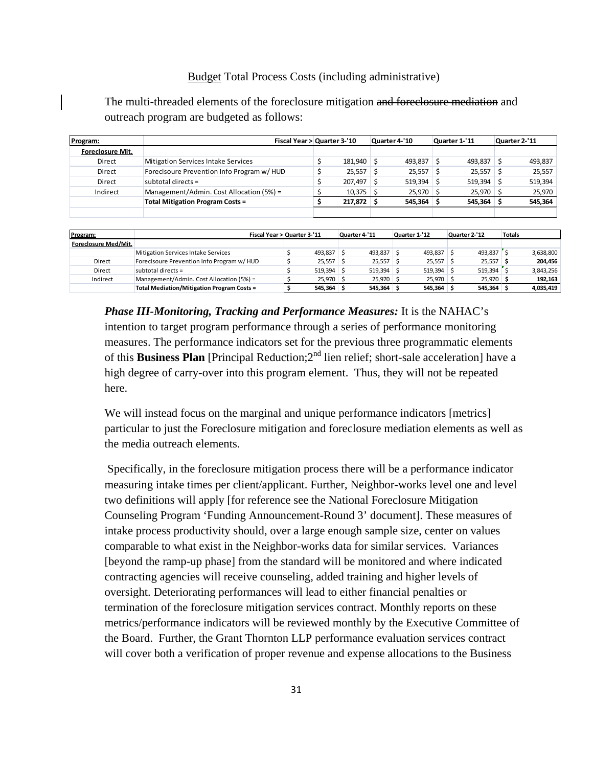### Budget Total Process Costs (including administrative)

The multi-threaded elements of the foreclosure mitigation and foreclosure mediation and outreach program are budgeted as follows:

| Program:         |                                            |  | Fiscal Year > Quarter 3-'10 |  | Quarter 4-'10 |  | Quarter 1-'11 |  | Quarter 2-'11 |  |
|------------------|--------------------------------------------|--|-----------------------------|--|---------------|--|---------------|--|---------------|--|
| Foreclosure Mit. |                                            |  |                             |  |               |  |               |  |               |  |
| Direct           | <b>Mitigation Services Intake Services</b> |  | 181.940                     |  | 493,837 \$    |  | 493,837       |  | 493.837       |  |
| Direct           | Foreclsoure Prevention Info Program w/ HUD |  | 25,557                      |  | $25,557$ \$   |  | 25,557        |  | 25.557        |  |
| Direct           | subtotal directs $=$                       |  | 207.497                     |  | $519,394$ \$  |  | 519.394       |  | 519.394       |  |
| Indirect         | Management/Admin. Cost Allocation (5%) =   |  | $10,375$ \$                 |  | $25.970$ \$   |  | $25.970$ \$   |  | 25.970        |  |
|                  | <b>Total Mitigation Program Costs =</b>    |  | 217.872                     |  | 545.364 S     |  | 545.364       |  | 545.364       |  |
|                  |                                            |  |                             |  |               |  |               |  |               |  |

| Program:             | Fiscal Year > Quarter 3-'11                       |              | Quarter 4-'11 | Quarter 1-'12 | Quarter 2-'12           | <b>Totals</b> |           |
|----------------------|---------------------------------------------------|--------------|---------------|---------------|-------------------------|---------------|-----------|
| Foreclosure Med/Mit. |                                                   |              |               |               |                         |               |           |
|                      | Mitigation Services Intake Services               | 493.837 S    | 493.837       | $493.837$ \$  | 493.837 \$              |               | 3,638,800 |
| Direct               | Foreclsoure Prevention Info Program w/ HUD        | $25.557$ \$  | $25,557$ \$   | $25,557$ \$   | $25,557$ \$             |               | 204.456   |
| Direct               | subtotal directs $=$                              | $519.394$ \$ | 519.394       | $519.394$ \$  | $519.394$ $\frac{1}{3}$ |               | 3.843.256 |
| Indirect             | Management/Admin. Cost Allocation (5%) =          | $25.970$ \$  | 25.970        | $25.970$ \$   | $25.970$ \$             |               | 192,163   |
|                      | <b>Total Mediation/Mitigation Program Costs =</b> | $545.364$ \$ | 545.364       | $545,364$ \$  | $545,364$ \$            |               | 4,035,419 |

*Phase III-Monitoring, Tracking and Performance Measures:* It is the NAHAC's intention to target program performance through a series of performance monitoring measures. The performance indicators set for the previous three programmatic elements of this **Business Plan** [Principal Reduction;2<sup>nd</sup> lien relief; short-sale acceleration] have a high degree of carry-over into this program element. Thus, they will not be repeated here.

We will instead focus on the marginal and unique performance indicators [metrics] particular to just the Foreclosure mitigation and foreclosure mediation elements as well as the media outreach elements.

 Specifically, in the foreclosure mitigation process there will be a performance indicator measuring intake times per client/applicant. Further, Neighbor-works level one and level two definitions will apply [for reference see the National Foreclosure Mitigation Counseling Program 'Funding Announcement-Round 3' document]. These measures of intake process productivity should, over a large enough sample size, center on values comparable to what exist in the Neighbor-works data for similar services. Variances [beyond the ramp-up phase] from the standard will be monitored and where indicated contracting agencies will receive counseling, added training and higher levels of oversight. Deteriorating performances will lead to either financial penalties or termination of the foreclosure mitigation services contract. Monthly reports on these metrics/performance indicators will be reviewed monthly by the Executive Committee of the Board. Further, the Grant Thornton LLP performance evaluation services contract will cover both a verification of proper revenue and expense allocations to the Business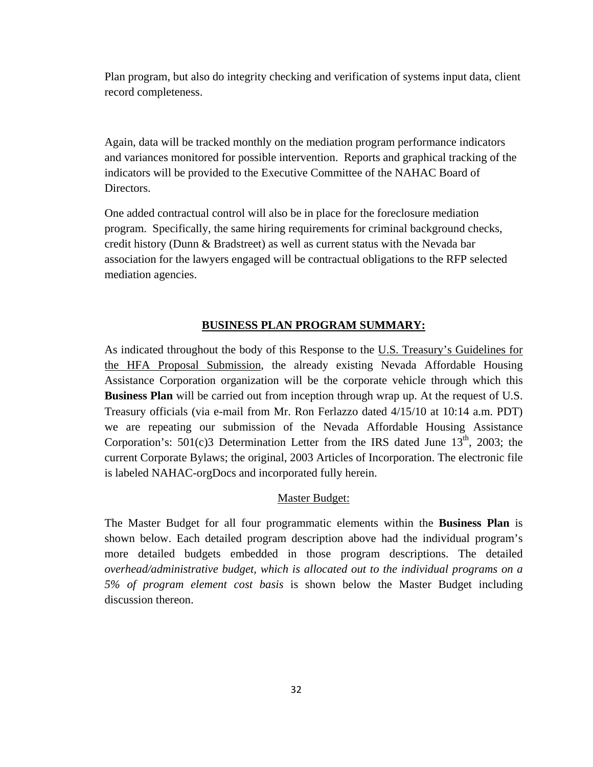Plan program, but also do integrity checking and verification of systems input data, client record completeness.

Again, data will be tracked monthly on the mediation program performance indicators and variances monitored for possible intervention. Reports and graphical tracking of the indicators will be provided to the Executive Committee of the NAHAC Board of Directors.

One added contractual control will also be in place for the foreclosure mediation program. Specifically, the same hiring requirements for criminal background checks, credit history (Dunn & Bradstreet) as well as current status with the Nevada bar association for the lawyers engaged will be contractual obligations to the RFP selected mediation agencies.

### **BUSINESS PLAN PROGRAM SUMMARY:**

As indicated throughout the body of this Response to the U.S. Treasury's Guidelines for the HFA Proposal Submission, the already existing Nevada Affordable Housing Assistance Corporation organization will be the corporate vehicle through which this **Business Plan** will be carried out from inception through wrap up. At the request of U.S. Treasury officials (via e-mail from Mr. Ron Ferlazzo dated 4/15/10 at 10:14 a.m. PDT) we are repeating our submission of the Nevada Affordable Housing Assistance Corporation's:  $501(c)3$  Determination Letter from the IRS dated June  $13<sup>th</sup>$ , 2003; the current Corporate Bylaws; the original, 2003 Articles of Incorporation. The electronic file is labeled NAHAC-orgDocs and incorporated fully herein.

#### Master Budget:

The Master Budget for all four programmatic elements within the **Business Plan** is shown below. Each detailed program description above had the individual program's more detailed budgets embedded in those program descriptions. The detailed *overhead/administrative budget, which is allocated out to the individual programs on a 5% of program element cost basis* is shown below the Master Budget including discussion thereon.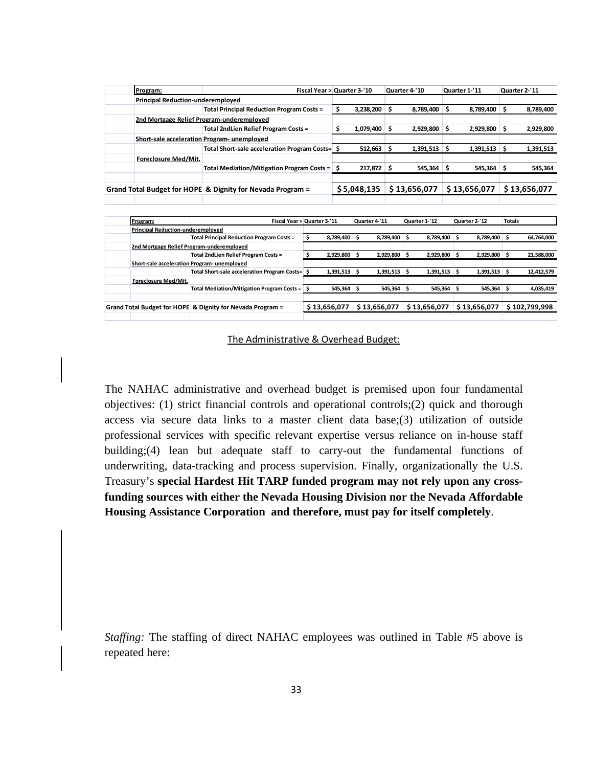| Program:                                    |                                                            | Fiscal Year > Quarter 3-'10 | Quarter 4-'10       | Quarter 1-'11 | Quarter 2-'11   |
|---------------------------------------------|------------------------------------------------------------|-----------------------------|---------------------|---------------|-----------------|
| <b>Principal Reduction-underemployed</b>    |                                                            |                             |                     |               |                 |
|                                             | <b>Total Principal Reduction Program Costs =</b>           | 3,238,200                   | 8,789,400 \$<br>S   | 8,789,400 \$  | 8,789,400       |
|                                             | 2nd Mortgage Relief Program-underemploved                  |                             |                     |               |                 |
|                                             | <b>Total 2ndLien Relief Program Costs =</b>                | 1,079,400                   | $2,929,800$ \$<br>S | 2,929,800     | 2,929,800<br>.S |
| Short-sale acceleration Program- unemploved |                                                            |                             |                     |               |                 |
|                                             | Total Short-sale acceleration Program Costs= \$            | 512,663                     | $1,391,513$ \$<br>S | 1,391,513     | 1,391,513       |
| Foreclosure Med/Mit.                        |                                                            |                             |                     |               |                 |
|                                             | Total Mediation/Mitigation Program Costs =                 | 217,872                     | 545,364<br>S        | 545,364       | 545,364         |
|                                             |                                                            |                             |                     |               |                 |
|                                             | Grand Total Budget for HOPE & Dignity for Nevada Program = | \$5,048,135                 | \$13,656,077        | \$13,656,077  | \$13,656,077    |
|                                             |                                                            |                             |                     |               |                 |

|                                             | Program:             |                                                            | Fiscal Year > Quarter 3-'11 | Quarter 4-'11 | Quarter 1-'12  | Quarter 2-'12 | <b>Totals</b>    |
|---------------------------------------------|----------------------|------------------------------------------------------------|-----------------------------|---------------|----------------|---------------|------------------|
| <b>Principal Reduction-underemploved</b>    |                      |                                                            |                             |               |                |               |                  |
|                                             |                      | <b>Total Principal Reduction Program Costs =</b>           | 8,789,400                   | 8.789.400     | 8.789.400      | 8,789,400     | 64,764,000       |
| 2nd Mortgage Relief Program-underemploved   |                      |                                                            |                             |               |                |               |                  |
|                                             |                      | Total 2ndLien Relief Program Costs =                       | 2,929,800 \$                | 2,929,800     | 2,929,800      | 2,929,800     | 21,588,000       |
| Short-sale acceleration Program- unemploved |                      |                                                            |                             |               |                |               |                  |
|                                             |                      | Total Short-sale acceleration Program Costs= S             | 1,391,513                   | 1,391,513     | 1,391,513<br>S | 1,391,513     | 12,412,579<br>-S |
|                                             | Foreclosure Med/Mit. |                                                            |                             |               |                |               |                  |
|                                             |                      | Total Mediation/Mitigation Program Costs =                 | $545.364$ \$                | 545.364       | 545.364        | 545.364<br>-S | 4,035,419<br>-S  |
|                                             |                      |                                                            |                             |               |                |               |                  |
|                                             |                      | Grand Total Budget for HOPE & Dignity for Nevada Program = | \$13,656,077                | \$13,656,077  | \$13,656,077   | \$13,656,077  | \$102,799,998    |
|                                             |                      |                                                            |                             |               |                |               |                  |

The Administrative & Overhead Budget:

The NAHAC administrative and overhead budget is premised upon four fundamental objectives: (1) strict financial controls and operational controls;(2) quick and thorough access via secure data links to a master client data base;(3) utilization of outside professional services with specific relevant expertise versus reliance on in-house staff building;(4) lean but adequate staff to carry-out the fundamental functions of underwriting, data-tracking and process supervision. Finally, organizationally the U.S. Treasury's **special Hardest Hit TARP funded program may not rely upon any crossfunding sources with either the Nevada Housing Division nor the Nevada Affordable Housing Assistance Corporation and therefore, must pay for itself completely**.

*Staffing:* The staffing of direct NAHAC employees was outlined in Table #5 above is repeated here: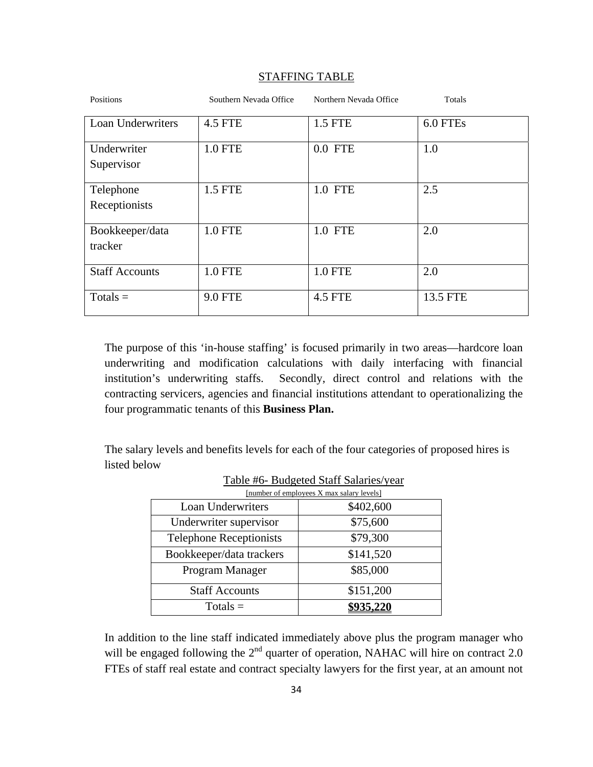| Positions                  | Southern Nevada Office | Northern Nevada Office | Totals   |
|----------------------------|------------------------|------------------------|----------|
| Loan Underwriters          | <b>4.5 FTE</b>         | 1.5 FTE                | 6.0 FTEs |
| Underwriter<br>Supervisor  | <b>1.0 FTE</b>         | $0.0$ FTE              | 1.0      |
| Telephone<br>Receptionists | 1.5 FTE                | 1.0 FTE                | 2.5      |
| Bookkeeper/data<br>tracker | <b>1.0 FTE</b>         | 1.0 FTE                | 2.0      |
| <b>Staff Accounts</b>      | <b>1.0 FTE</b>         | <b>1.0 FTE</b>         | 2.0      |
| $Totals =$                 | <b>9.0 FTE</b>         | <b>4.5 FTE</b>         | 13.5 FTE |

#### STAFFING TABLE

The purpose of this 'in-house staffing' is focused primarily in two areas—hardcore loan underwriting and modification calculations with daily interfacing with financial institution's underwriting staffs. Secondly, direct control and relations with the contracting servicers, agencies and financial institutions attendant to operationalizing the four programmatic tenants of this **Business Plan.** 

The salary levels and benefits levels for each of the four categories of proposed hires is listed below

| [number of employees X max salary levels] |           |  |  |  |  |  |  |
|-------------------------------------------|-----------|--|--|--|--|--|--|
| <b>Loan Underwriters</b>                  | \$402,600 |  |  |  |  |  |  |
| Underwriter supervisor                    | \$75,600  |  |  |  |  |  |  |
| <b>Telephone Receptionists</b>            | \$79,300  |  |  |  |  |  |  |
| Bookkeeper/data trackers                  | \$141,520 |  |  |  |  |  |  |
| Program Manager                           | \$85,000  |  |  |  |  |  |  |
| <b>Staff Accounts</b>                     | \$151,200 |  |  |  |  |  |  |
| $Totals =$                                | \$935,220 |  |  |  |  |  |  |

|  |  | Table #6- Budgeted Staff Salaries/year |  |
|--|--|----------------------------------------|--|
|  |  |                                        |  |

In addition to the line staff indicated immediately above plus the program manager who will be engaged following the 2<sup>nd</sup> quarter of operation, NAHAC will hire on contract 2.0 FTEs of staff real estate and contract specialty lawyers for the first year, at an amount not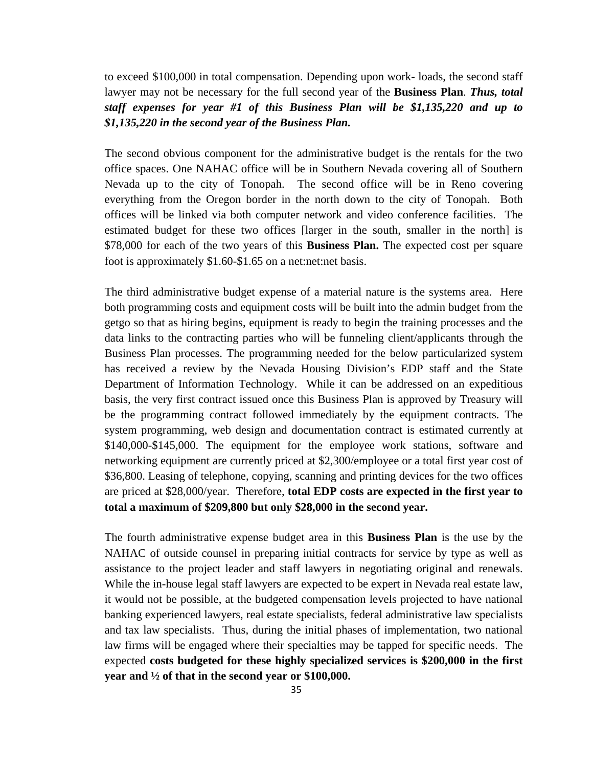to exceed \$100,000 in total compensation. Depending upon work- loads, the second staff lawyer may not be necessary for the full second year of the **Business Plan**. *Thus, total staff expenses for year #1 of this Business Plan will be \$1,135,220 and up to \$1,135,220 in the second year of the Business Plan.* 

The second obvious component for the administrative budget is the rentals for the two office spaces. One NAHAC office will be in Southern Nevada covering all of Southern Nevada up to the city of Tonopah. The second office will be in Reno covering everything from the Oregon border in the north down to the city of Tonopah. Both offices will be linked via both computer network and video conference facilities. The estimated budget for these two offices [larger in the south, smaller in the north] is \$78,000 for each of the two years of this **Business Plan.** The expected cost per square foot is approximately \$1.60-\$1.65 on a net:net:net basis.

The third administrative budget expense of a material nature is the systems area. Here both programming costs and equipment costs will be built into the admin budget from the getgo so that as hiring begins, equipment is ready to begin the training processes and the data links to the contracting parties who will be funneling client/applicants through the Business Plan processes. The programming needed for the below particularized system has received a review by the Nevada Housing Division's EDP staff and the State Department of Information Technology. While it can be addressed on an expeditious basis, the very first contract issued once this Business Plan is approved by Treasury will be the programming contract followed immediately by the equipment contracts. The system programming, web design and documentation contract is estimated currently at \$140,000-\$145,000. The equipment for the employee work stations, software and networking equipment are currently priced at \$2,300/employee or a total first year cost of \$36,800. Leasing of telephone, copying, scanning and printing devices for the two offices are priced at \$28,000/year. Therefore, **total EDP costs are expected in the first year to total a maximum of \$209,800 but only \$28,000 in the second year.** 

The fourth administrative expense budget area in this **Business Plan** is the use by the NAHAC of outside counsel in preparing initial contracts for service by type as well as assistance to the project leader and staff lawyers in negotiating original and renewals. While the in-house legal staff lawyers are expected to be expert in Nevada real estate law, it would not be possible, at the budgeted compensation levels projected to have national banking experienced lawyers, real estate specialists, federal administrative law specialists and tax law specialists. Thus, during the initial phases of implementation, two national law firms will be engaged where their specialties may be tapped for specific needs. The expected **costs budgeted for these highly specialized services is \$200,000 in the first year and ½ of that in the second year or \$100,000.**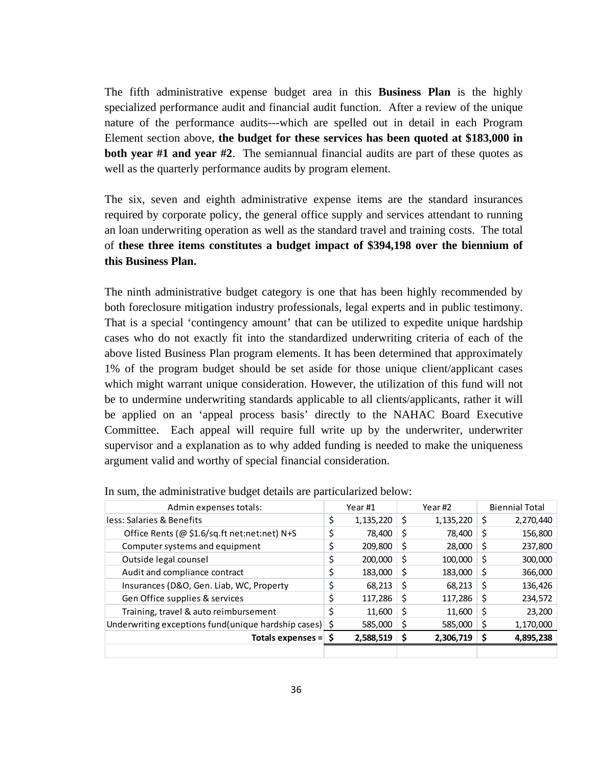The fifth administrative expense budget area in this **Business Plan** is the highly specialized performance audit and financial audit function. After a review of the unique nature of the performance audits---which are spelled out in detail in each Program Element section above, **the budget for these services has been quoted at \$183,000 in both year #1 and year #2**. The semiannual financial audits are part of these quotes as well as the quarterly performance audits by program element.

The six, seven and eighth administrative expense items are the standard insurances required by corporate policy, the general office supply and services attendant to running an loan underwriting operation as well as the standard travel and training costs. The total of **these three items constitutes a budget impact of \$394,198 over the biennium of this Business Plan.** 

The ninth administrative budget category is one that has been highly recommended by both foreclosure mitigation industry professionals, legal experts and in public testimony. That is a special 'contingency amount' that can be utilized to expedite unique hardship cases who do not exactly fit into the standardized underwriting criteria of each of the above listed Business Plan program elements. It has been determined that approximately 1% of the program budget should be set aside for those unique client/applicant cases which might warrant unique consideration. However, the utilization of this fund will not be to undermine underwriting standards applicable to all clients/applicants, rather it will be applied on an 'appeal process basis' directly to the NAHAC Board Executive Committee. Each appeal will require full write up by the underwriter, underwriter supervisor and a explanation as to why added funding is needed to make the uniqueness argument valid and worthy of special financial consideration.

| Admin expenses totals:                                      |    | Year <sub>#1</sub> |     | Year #2   |    | <b>Biennial Total</b> |  |
|-------------------------------------------------------------|----|--------------------|-----|-----------|----|-----------------------|--|
| less: Salaries & Benefits                                   | \$ | 1,135,220          | \$. | 1,135,220 | \$ | 2,270,440             |  |
| Office Rents (@ \$1.6/sq.ft net:net:net) N+S                |    | 78,400             | \$  | 78,400    | S  | 156,800               |  |
| Computer systems and equipment                              |    | 209,800            | S   | 28,000    | S  | 237,800               |  |
| Outside legal counsel                                       |    | 200,000            | \$  | 100,000   | S  | 300,000               |  |
| Audit and compliance contract                               |    | 183,000            | \$  | 183,000   | S  | 366,000               |  |
| Insurances (D&O, Gen. Liab, WC, Property                    |    | 68,213             | S.  | 68,213    | \$ | 136,426               |  |
| Gen Office supplies & services                              |    | 117,286            | S.  | 117,286   | S  | 234,572               |  |
| Training, travel & auto reimbursement                       |    | 11,600             | S   | 11,600    | S  | 23,200                |  |
| Underwriting exceptions fund(unique hardship cases) $\oint$ |    | 585,000            | S   | 585,000   | S  | 1,170,000             |  |
| Totals expenses $=$ \$                                      |    | 2,588,519          | Ş   | 2,306,719 |    | 4,895,238             |  |
|                                                             |    |                    |     |           |    |                       |  |

In sum, the administrative budget details are particularized below: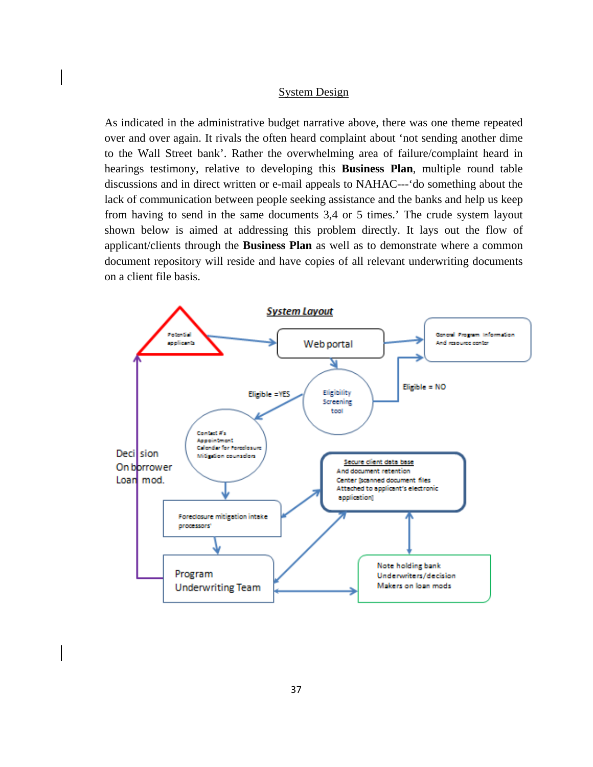#### System Design

As indicated in the administrative budget narrative above, there was one theme repeated over and over again. It rivals the often heard complaint about 'not sending another dime to the Wall Street bank'. Rather the overwhelming area of failure/complaint heard in hearings testimony, relative to developing this **Business Plan**, multiple round table discussions and in direct written or e-mail appeals to NAHAC---'do something about the lack of communication between people seeking assistance and the banks and help us keep from having to send in the same documents 3,4 or 5 times.' The crude system layout shown below is aimed at addressing this problem directly. It lays out the flow of applicant/clients through the **Business Plan** as well as to demonstrate where a common document repository will reside and have copies of all relevant underwriting documents on a client file basis.